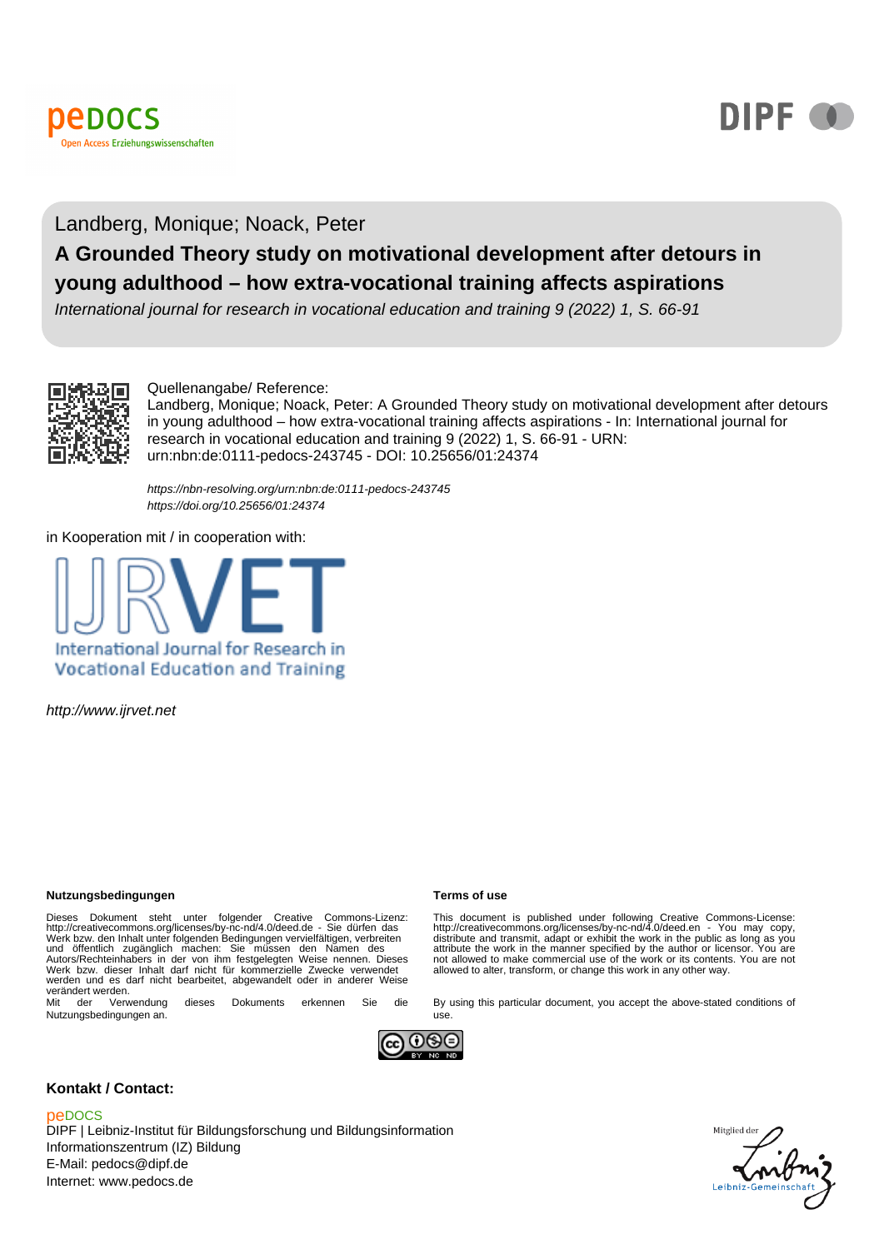



# Landberg, Monique; Noack, Peter **A Grounded Theory study on motivational development after detours in young adulthood – how extra-vocational training affects aspirations**

International journal for research in vocational education and training 9 (2022) 1, S. 66-91



#### Quellenangabe/ Reference:

Landberg, Monique; Noack, Peter: A Grounded Theory study on motivational development after detours in young adulthood – how extra-vocational training affects aspirations - In: International journal for research in vocational education and training 9 (2022) 1, S. 66-91 - URN: urn:nbn:de:0111-pedocs-243745 - DOI: 10.25656/01:24374

<https://nbn-resolving.org/urn:nbn:de:0111-pedocs-243745> <https://doi.org/10.25656/01:24374>

in Kooperation mit / in cooperation with:



http://www.ijrvet.net

#### **Nutzungsbedingungen Terms of use**

Dieses Dokument steht unter folgender Creative Commons-Lizenz:<br>http://creativecommons.org/licenses/by-nc-nd/4.0/deed.de - Sie dürfen das<br>Werk bzw. den Inhalt unter folgenden Bedingungen vervielfältigen, verbreiten<br>und öffe werden und es darf nicht bearbeitet, abgewandelt oder in anderer Weise werändert werden.<br>
Mit der Verwendung

dieses Dokuments erkennen Sie die Nutzungsbedingungen an.

This document is published under following Creative Commons-License:<br>http://creativecommons.org/licenses/by-nc-nd/4.0/deed.en - You may copy,<br>distribute and transmit, adapt or exhibit the work in the public as long as you<br> not allowed to make commercial use of the work or its contents. You are not allowed to alter, transform, or change this work in any other way.

By using this particular document, you accept the above-stated conditions of



use.

#### **Kontakt / Contact:**

#### peDOCS

DIPF | Leibniz-Institut für Bildungsforschung und Bildungsinformation Informationszentrum (IZ) Bildung E-Mail: pedocs@dipf.de Internet: www.pedocs.de

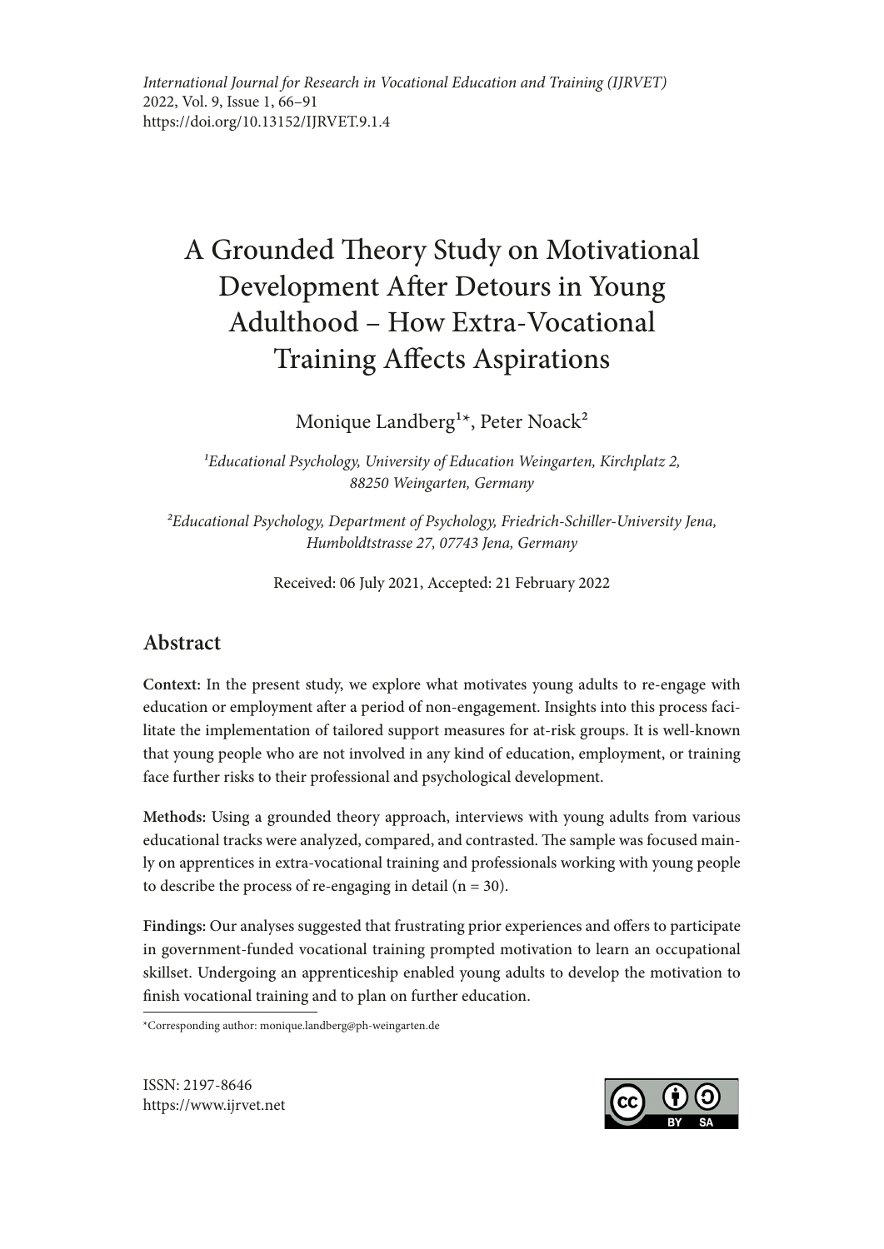*International Journal for Research in Vocational Education and Training (IJRVET)* 2022, Vol. 9, Issue 1, 66–91 https://doi.org/10.13152/IJRVET.9.1.4

# A Grounded Theory Study on Motivational Development Afer Detours in Young Adulthood – How Extra-Vocational Training Afects Aspirations

Monique Landberg<sup>1\*</sup>, Peter Noack<sup>2</sup>

*1Educational Psychology, University of Education Weingarten, Kirchplatz 2, 88250 Weingarten, Germany*

*2Educational Psychology, Department of Psychology, Friedrich-Schiller-University Jena, Humboldtstrasse 27, 07743 Jena, Germany*

Received: 06 July 2021, Accepted: 21 February 2022

# **Abstract**

**Context:** In the present study, we explore what motivates young adults to re-engage with education or employment after a period of non-engagement. Insights into this process facilitate the implementation of tailored support measures for at-risk groups. It is well-known that young people who are not involved in any kind of education, employment, or training face further risks to their professional and psychological development.

**Methods:** Using a grounded theory approach, interviews with young adults from various educational tracks were analyzed, compared, and contrasted. The sample was focused mainly on apprentices in extra-vocational training and professionals working with young people to describe the process of re-engaging in detail  $(n = 30)$ .

**Findings:** Our analyses suggested that frustrating prior experiences and ofers to participate in government-funded vocational training prompted motivation to learn an occupational skillset. Undergoing an apprenticeship enabled young adults to develop the motivation to fnish vocational training and to plan on further education.

\*Corresponding author: monique.landberg@ph-weingarten.de

ISSN: 2197-8646 https://www.ijrvet.net

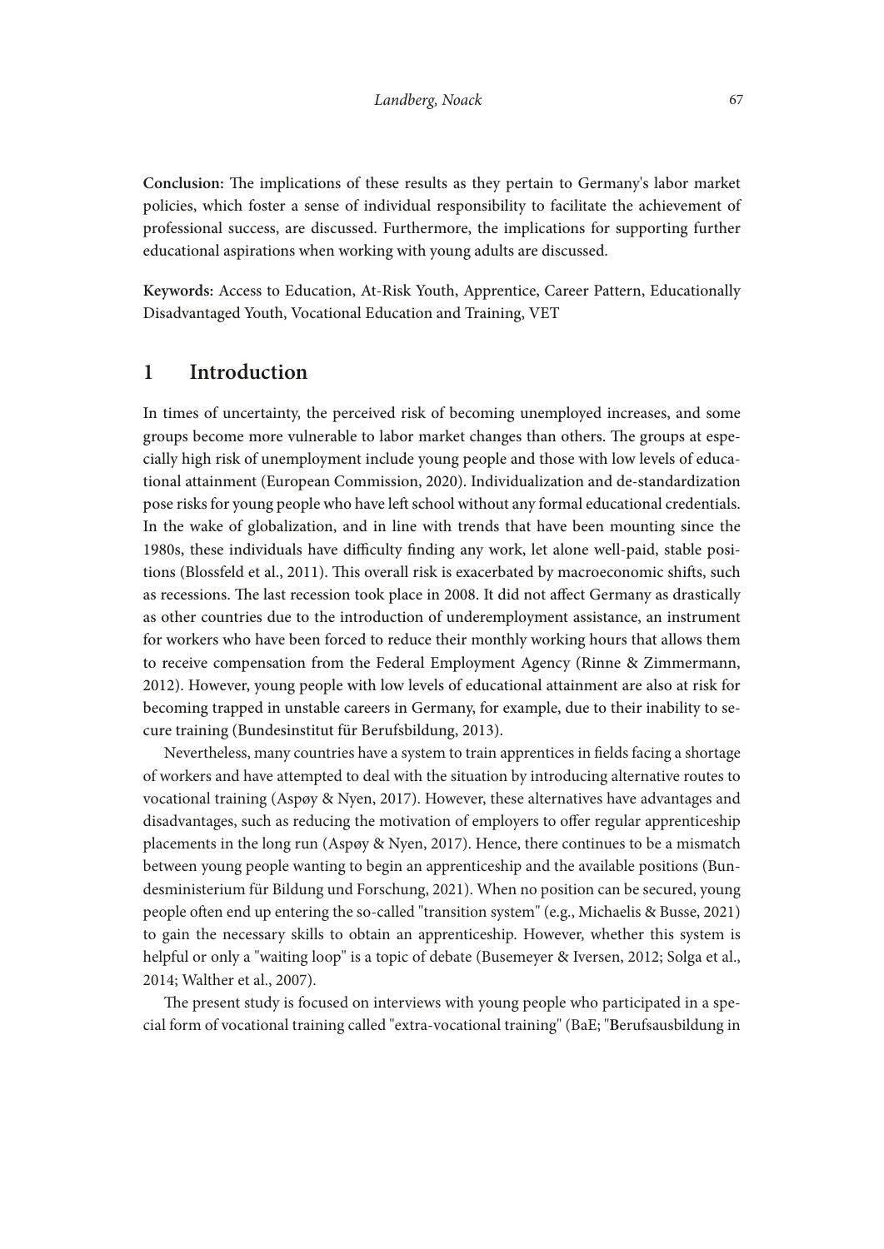Conclusion: The implications of these results as they pertain to Germany's labor market policies, which foster a sense of individual responsibility to facilitate the achievement of professional success, are discussed. Furthermore, the implications for supporting further educational aspirations when working with young adults are discussed.

**Keywords:** Access to Education, At-Risk Youth, Apprentice, Career Pattern, Educationally Disadvantaged Youth, Vocational Education and Training, VET

# **1 Introduction**

In times of uncertainty, the perceived risk of becoming unemployed increases, and some groups become more vulnerable to labor market changes than others. The groups at especially high risk of unemployment include young people and those with low levels of educational attainment (European Commission, 2020). Individualization and de-standardization pose risks for young people who have lef school without any formal educational credentials. In the wake of globalization, and in line with trends that have been mounting since the 1980s, these individuals have difculty fnding any work, let alone well-paid, stable positions (Blossfeld et al., 2011). Tis overall risk is exacerbated by macroeconomic shifs, such as recessions. The last recession took place in 2008. It did not affect Germany as drastically as other countries due to the introduction of underemployment assistance, an instrument for workers who have been forced to reduce their monthly working hours that allows them to receive compensation from the Federal Employment Agency (Rinne & Zimmermann, 2012). However, young people with low levels of educational attainment are also at risk for becoming trapped in unstable careers in Germany, for example, due to their inability to secure training (Bundesinstitut für Berufsbildung, 2013).

Nevertheless, many countries have a system to train apprentices in felds facing a shortage of workers and have attempted to deal with the situation by introducing alternative routes to vocational training (Aspøy & Nyen, 2017). However, these alternatives have advantages and disadvantages, such as reducing the motivation of employers to ofer regular apprenticeship placements in the long run (Aspøy & Nyen, 2017). Hence, there continues to be a mismatch between young people wanting to begin an apprenticeship and the available positions (Bundesministerium für Bildung und Forschung, 2021). When no position can be secured, young people ofen end up entering the so-called "transition system" (e.g., Michaelis & Busse, 2021) to gain the necessary skills to obtain an apprenticeship. However, whether this system is helpful or only a "waiting loop" is a topic of debate (Busemeyer & Iversen, 2012; Solga et al., 2014; Walther et al., 2007).

The present study is focused on interviews with young people who participated in a special form of vocational training called "extra-vocational training" (BaE; "**B**erufsausbildung in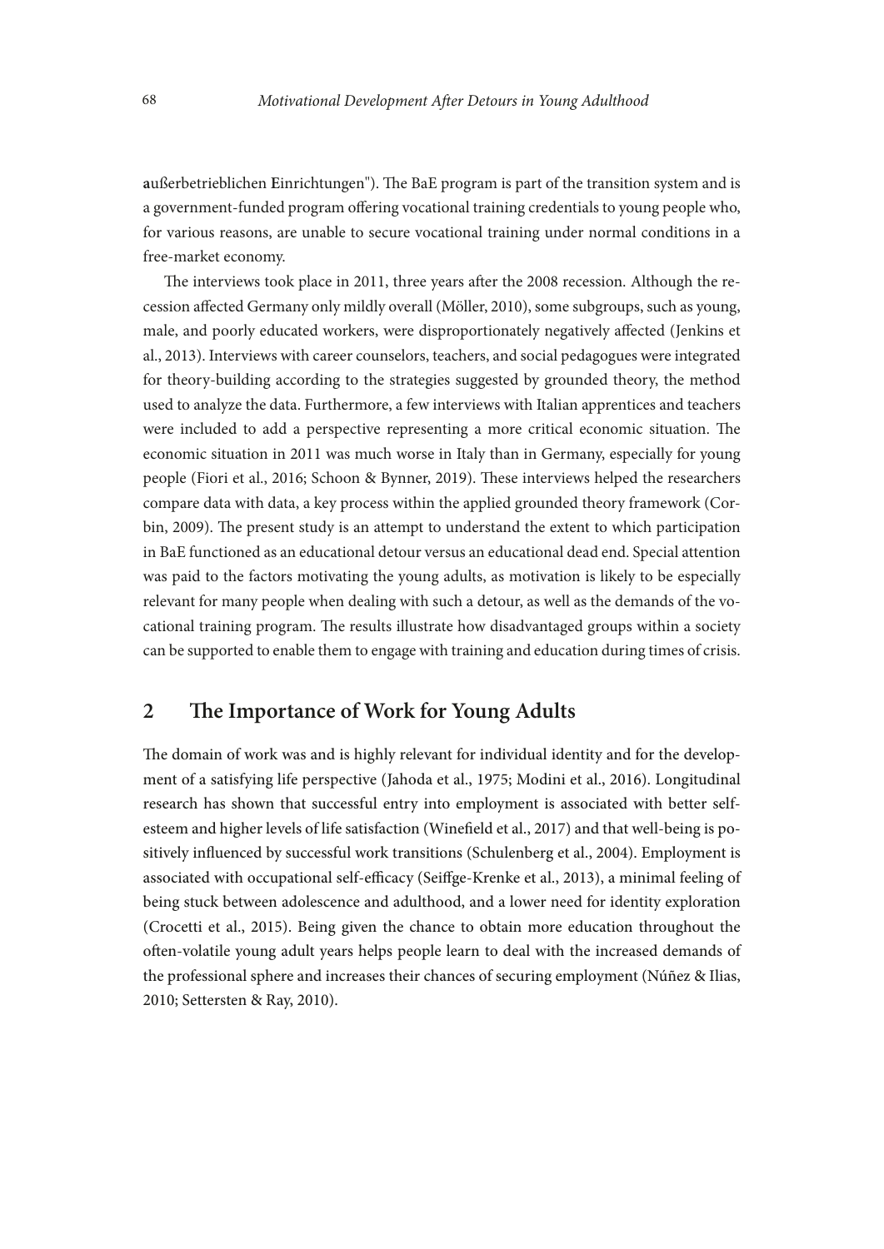außerbetrieblichen Einrichtungen"). The BaE program is part of the transition system and is a government-funded program ofering vocational training credentials to young people who, for various reasons, are unable to secure vocational training under normal conditions in a free-market economy.

The interviews took place in 2011, three years after the 2008 recession. Although the recession afected Germany only mildly overall (Möller, 2010), some subgroups, such as young, male, and poorly educated workers, were disproportionately negatively afected (Jenkins et al., 2013). Interviews with career counselors, teachers, and social pedagogues were integrated for theory-building according to the strategies suggested by grounded theory, the method used to analyze the data. Furthermore, a few interviews with Italian apprentices and teachers were included to add a perspective representing a more critical economic situation. The economic situation in 2011 was much worse in Italy than in Germany, especially for young people (Fiori et al., 2016; Schoon & Bynner, 2019). These interviews helped the researchers compare data with data, a key process within the applied grounded theory framework (Corbin, 2009). The present study is an attempt to understand the extent to which participation in BaE functioned as an educational detour versus an educational dead end. Special attention was paid to the factors motivating the young adults, as motivation is likely to be especially relevant for many people when dealing with such a detour, as well as the demands of the vocational training program. The results illustrate how disadvantaged groups within a society can be supported to enable them to engage with training and education during times of crisis.

# **2** The Importance of Work for Young Adults

The domain of work was and is highly relevant for individual identity and for the development of a satisfying life perspective (Jahoda et al., 1975; Modini et al., 2016). Longitudinal research has shown that successful entry into employment is associated with better selfesteem and higher levels of life satisfaction (Winefeld et al., 2017) and that well-being is positively infuenced by successful work transitions (Schulenberg et al., 2004). Employment is associated with occupational self-efficacy (Seiffge-Krenke et al., 2013), a minimal feeling of being stuck between adolescence and adulthood, and a lower need for identity exploration (Crocetti et al., 2015). Being given the chance to obtain more education throughout the ofen-volatile young adult years helps people learn to deal with the increased demands of the professional sphere and increases their chances of securing employment (Núñez & Ilias, 2010; Settersten & Ray, 2010).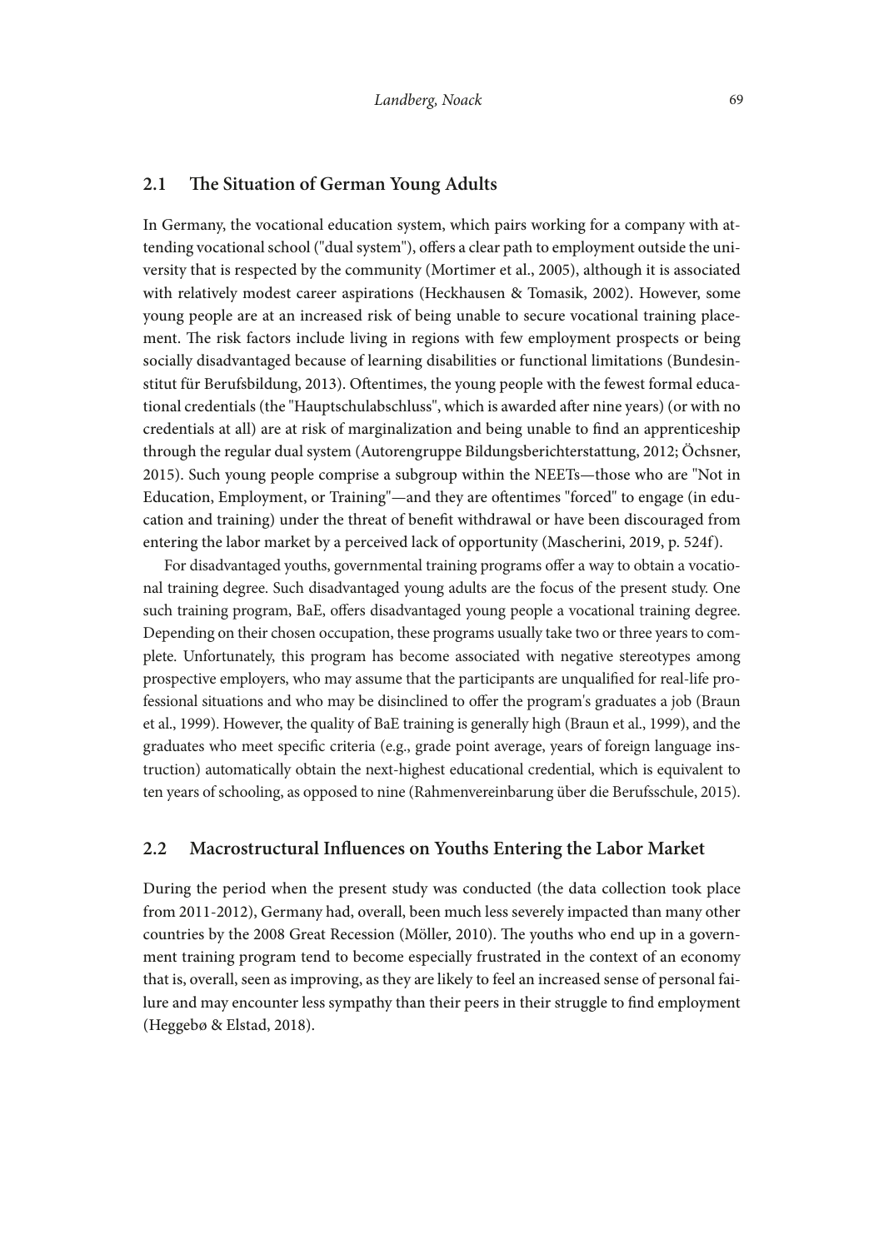#### 2.1 The Situation of German Young Adults

In Germany, the vocational education system, which pairs working for a company with attending vocational school ("dual system"), offers a clear path to employment outside the university that is respected by the community (Mortimer et al., 2005), although it is associated with relatively modest career aspirations (Heckhausen & Tomasik, 2002). However, some young people are at an increased risk of being unable to secure vocational training placement. The risk factors include living in regions with few employment prospects or being socially disadvantaged because of learning disabilities or functional limitations (Bundesinstitut für Berufsbildung, 2013). Ofentimes, the young people with the fewest formal educational credentials (the "Hauptschulabschluss", which is awarded afer nine years) (or with no credentials at all) are at risk of marginalization and being unable to fnd an apprenticeship through the regular dual system (Autorengruppe Bildungsberichterstattung, 2012; Ochsner, 2015). Such young people comprise a subgroup within the NEETs—those who are "Not in Education, Employment, or Training"—and they are ofentimes "forced" to engage (in education and training) under the threat of beneft withdrawal or have been discouraged from entering the labor market by a perceived lack of opportunity (Mascherini, 2019, p. 524f).

For disadvantaged youths, governmental training programs offer a way to obtain a vocational training degree. Such disadvantaged young adults are the focus of the present study. One such training program, BaE, offers disadvantaged young people a vocational training degree. Depending on their chosen occupation, these programs usually take two or three years to complete. Unfortunately, this program has become associated with negative stereotypes among prospective employers, who may assume that the participants are unqualifed for real-life professional situations and who may be disinclined to ofer the program's graduates a job (Braun et al., 1999). However, the quality of BaE training is generally high (Braun et al., 1999), and the graduates who meet specifc criteria (e.g., grade point average, years of foreign language instruction) automatically obtain the next-highest educational credential, which is equivalent to ten years of schooling, as opposed to nine (Rahmenvereinbarung uber die Berufsschule, 2015).

#### **2.2 Macrostructural Infuences on Youths Entering the Labor Market**

During the period when the present study was conducted (the data collection took place from 2011-2012), Germany had, overall, been much less severely impacted than many other countries by the 2008 Great Recession (Möller, 2010). The youths who end up in a government training program tend to become especially frustrated in the context of an economy that is, overall, seen as improving, as they are likely to feel an increased sense of personal failure and may encounter less sympathy than their peers in their struggle to fnd employment (Heggebø & Elstad, 2018).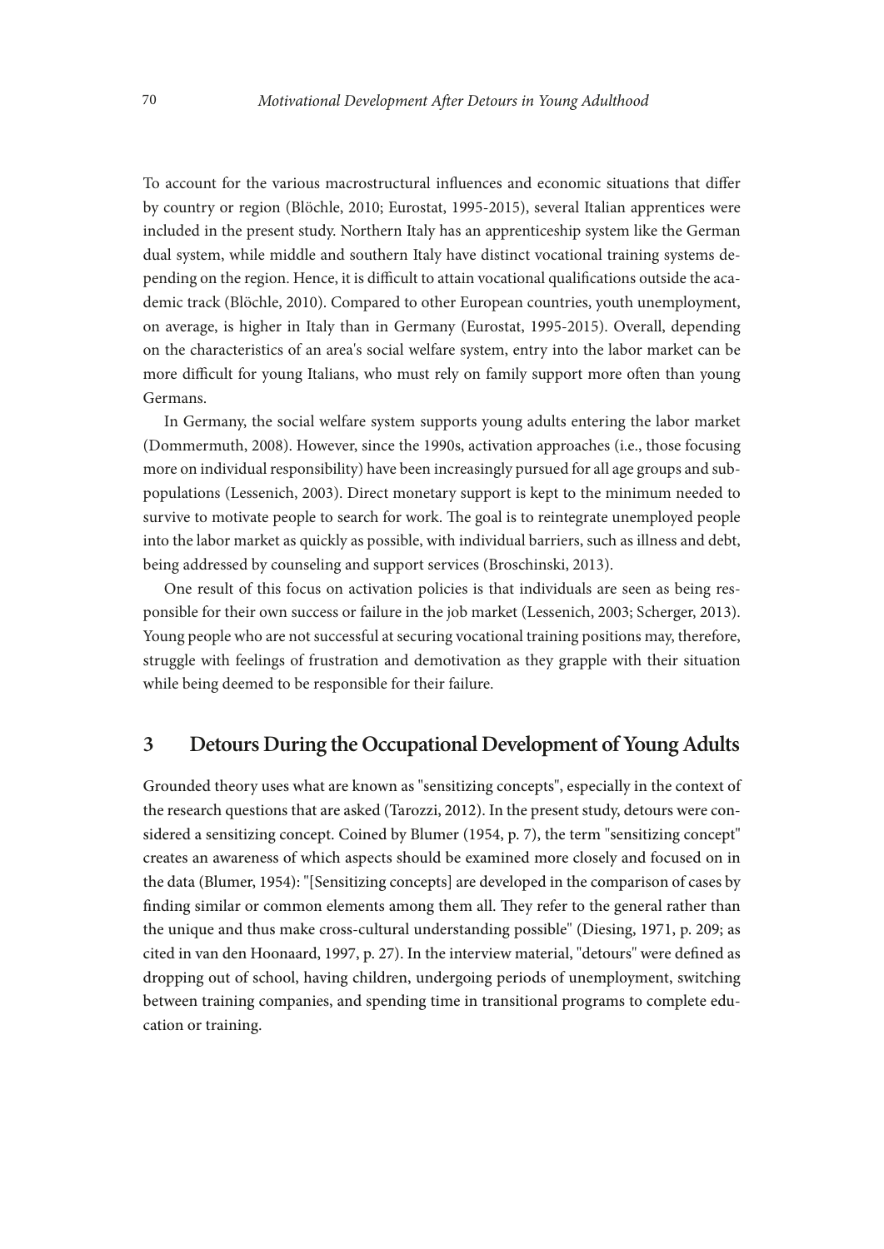To account for the various macrostructural infuences and economic situations that difer by country or region (Blöchle, 2010; Eurostat, 1995-2015), several Italian apprentices were included in the present study. Northern Italy has an apprenticeship system like the German dual system, while middle and southern Italy have distinct vocational training systems depending on the region. Hence, it is difficult to attain vocational qualifications outside the academic track (Blöchle, 2010). Compared to other European countries, youth unemployment, on average, is higher in Italy than in Germany (Eurostat, 1995-2015). Overall, depending on the characteristics of an area's social welfare system, entry into the labor market can be more difficult for young Italians, who must rely on family support more often than young Germans.

In Germany, the social welfare system supports young adults entering the labor market (Dommermuth, 2008). However, since the 1990s, activation approaches (i.e., those focusing more on individual responsibility) have been increasingly pursued for all age groups and subpopulations (Lessenich, 2003). Direct monetary support is kept to the minimum needed to survive to motivate people to search for work. The goal is to reintegrate unemployed people into the labor market as quickly as possible, with individual barriers, such as illness and debt, being addressed by counseling and support services (Broschinski, 2013).

One result of this focus on activation policies is that individuals are seen as being responsible for their own success or failure in the job market (Lessenich, 2003; Scherger, 2013). Young people who are not successful at securing vocational training positions may, therefore, struggle with feelings of frustration and demotivation as they grapple with their situation while being deemed to be responsible for their failure.

# **3 Detours During the Occupational Development of Young Adults**

Grounded theory uses what are known as "sensitizing concepts", especially in the context of the research questions that are asked (Tarozzi, 2012). In the present study, detours were considered a sensitizing concept. Coined by Blumer (1954, p. 7), the term "sensitizing concept" creates an awareness of which aspects should be examined more closely and focused on in the data (Blumer, 1954): "[Sensitizing concepts] are developed in the comparison of cases by finding similar or common elements among them all. They refer to the general rather than the unique and thus make cross-cultural understanding possible" (Diesing, 1971, p. 209; as cited in van den Hoonaard, 1997, p. 27). In the interview material, "detours" were defned as dropping out of school, having children, undergoing periods of unemployment, switching between training companies, and spending time in transitional programs to complete education or training.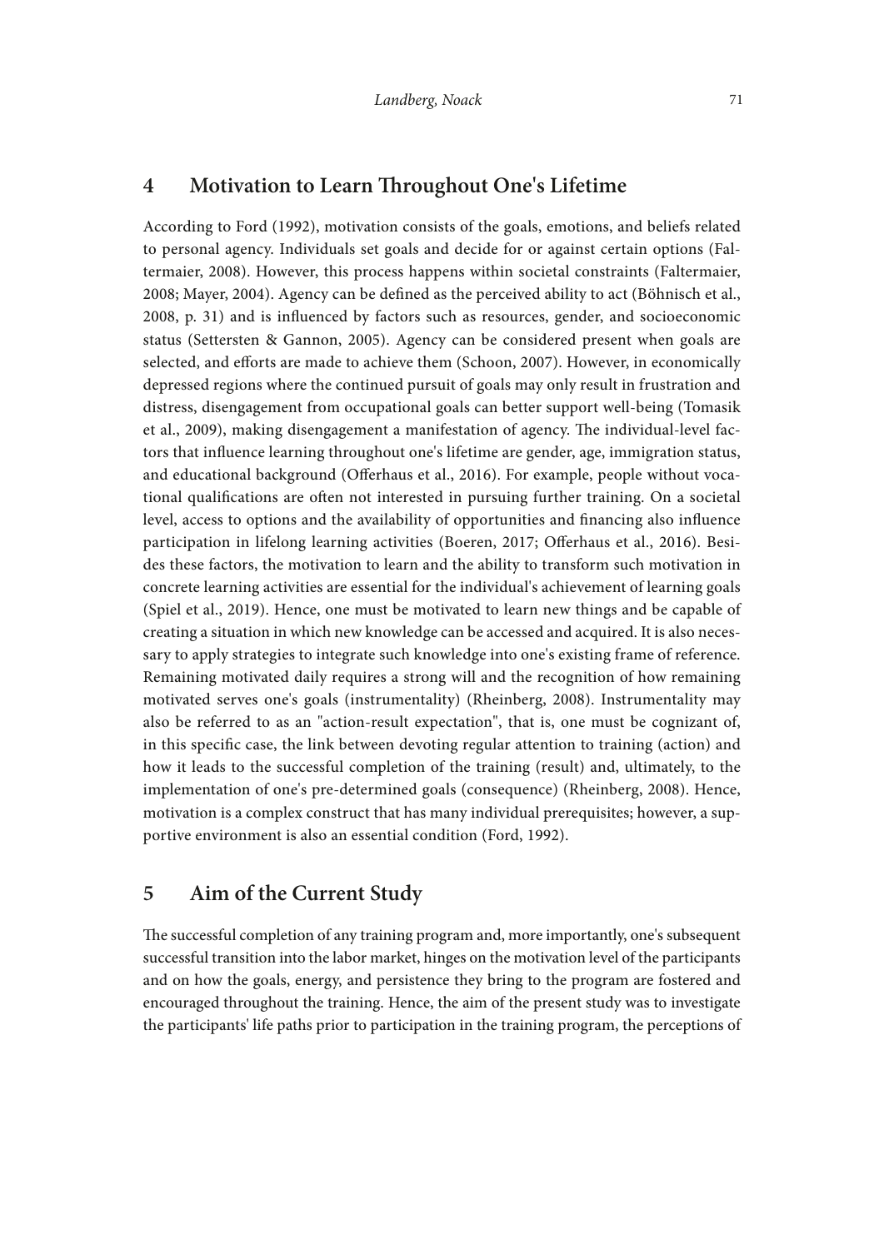# **4 Motivation to Learn Troughout One's Lifetime**

According to Ford (1992), motivation consists of the goals, emotions, and beliefs related to personal agency. Individuals set goals and decide for or against certain options (Faltermaier, 2008). However, this process happens within societal constraints (Faltermaier, 2008; Mayer, 2004). Agency can be defned as the perceived ability to act (Böhnisch et al., 2008, p. 31) and is infuenced by factors such as resources, gender, and socioeconomic status (Settersten & Gannon, 2005). Agency can be considered present when goals are selected, and eforts are made to achieve them (Schoon, 2007). However, in economically depressed regions where the continued pursuit of goals may only result in frustration and distress, disengagement from occupational goals can better support well-being (Tomasik et al., 2009), making disengagement a manifestation of agency. The individual-level factors that infuence learning throughout one's lifetime are gender, age, immigration status, and educational background (Oferhaus et al., 2016). For example, people without vocational qualifcations are ofen not interested in pursuing further training. On a societal level, access to options and the availability of opportunities and fnancing also infuence participation in lifelong learning activities (Boeren, 2017; Oferhaus et al., 2016). Besides these factors, the motivation to learn and the ability to transform such motivation in concrete learning activities are essential for the individual's achievement of learning goals (Spiel et al., 2019). Hence, one must be motivated to learn new things and be capable of creating a situation in which new knowledge can be accessed and acquired. It is also necessary to apply strategies to integrate such knowledge into one's existing frame of reference. Remaining motivated daily requires a strong will and the recognition of how remaining motivated serves one's goals (instrumentality) (Rheinberg, 2008). Instrumentality may also be referred to as an "action-result expectation", that is, one must be cognizant of, in this specifc case, the link between devoting regular attention to training (action) and how it leads to the successful completion of the training (result) and, ultimately, to the implementation of one's pre-determined goals (consequence) (Rheinberg, 2008). Hence, motivation is a complex construct that has many individual prerequisites; however, a supportive environment is also an essential condition (Ford, 1992).

# **5 Aim of the Current Study**

The successful completion of any training program and, more importantly, one's subsequent successful transition into the labor market, hinges on the motivation level of the participants and on how the goals, energy, and persistence they bring to the program are fostered and encouraged throughout the training. Hence, the aim of the present study was to investigate the participants' life paths prior to participation in the training program, the perceptions of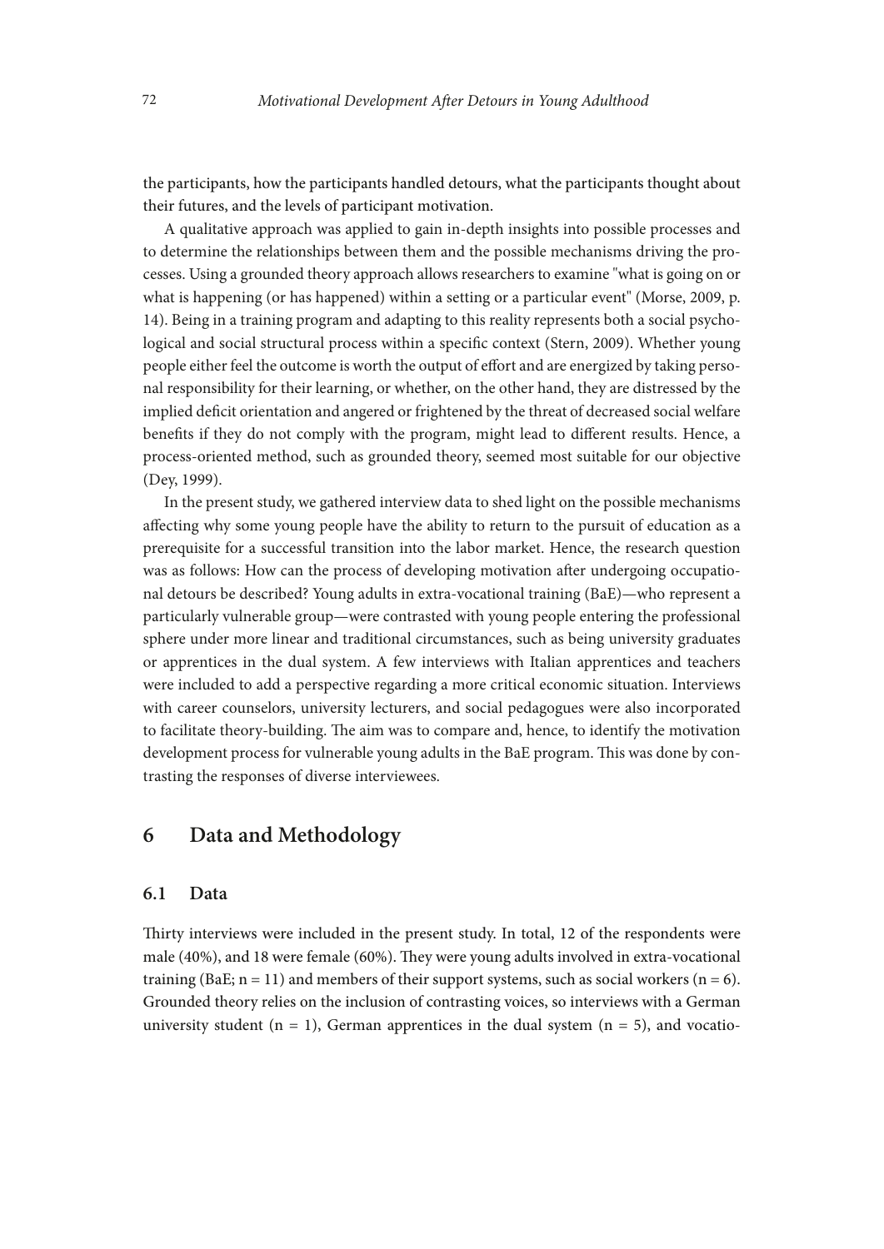the participants, how the participants handled detours, what the participants thought about their futures, and the levels of participant motivation.

A qualitative approach was applied to gain in-depth insights into possible processes and to determine the relationships between them and the possible mechanisms driving the processes. Using a grounded theory approach allows researchers to examine "what is going on or what is happening (or has happened) within a setting or a particular event" (Morse, 2009, p. 14). Being in a training program and adapting to this reality represents both a social psychological and social structural process within a specifc context (Stern, 2009). Whether young people either feel the outcome is worth the output of effort and are energized by taking personal responsibility for their learning, or whether, on the other hand, they are distressed by the implied defcit orientation and angered or frightened by the threat of decreased social welfare benefts if they do not comply with the program, might lead to diferent results. Hence, a process-oriented method, such as grounded theory, seemed most suitable for our objective (Dey, 1999).

In the present study, we gathered interview data to shed light on the possible mechanisms afecting why some young people have the ability to return to the pursuit of education as a prerequisite for a successful transition into the labor market. Hence, the research question was as follows: How can the process of developing motivation afer undergoing occupational detours be described? Young adults in extra-vocational training (BaE)—who represent a particularly vulnerable group—were contrasted with young people entering the professional sphere under more linear and traditional circumstances, such as being university graduates or apprentices in the dual system. A few interviews with Italian apprentices and teachers were included to add a perspective regarding a more critical economic situation. Interviews with career counselors, university lecturers, and social pedagogues were also incorporated to facilitate theory-building. The aim was to compare and, hence, to identify the motivation development process for vulnerable young adults in the BaE program. This was done by contrasting the responses of diverse interviewees.

# **6 Data and Methodology**

#### **6.1 Data**

Thirty interviews were included in the present study. In total, 12 of the respondents were male  $(40%)$ , and 18 were female  $(60%)$ . They were young adults involved in extra-vocational training (BaE;  $n = 11$ ) and members of their support systems, such as social workers ( $n = 6$ ). Grounded theory relies on the inclusion of contrasting voices, so interviews with a German university student ( $n = 1$ ), German apprentices in the dual system ( $n = 5$ ), and vocatio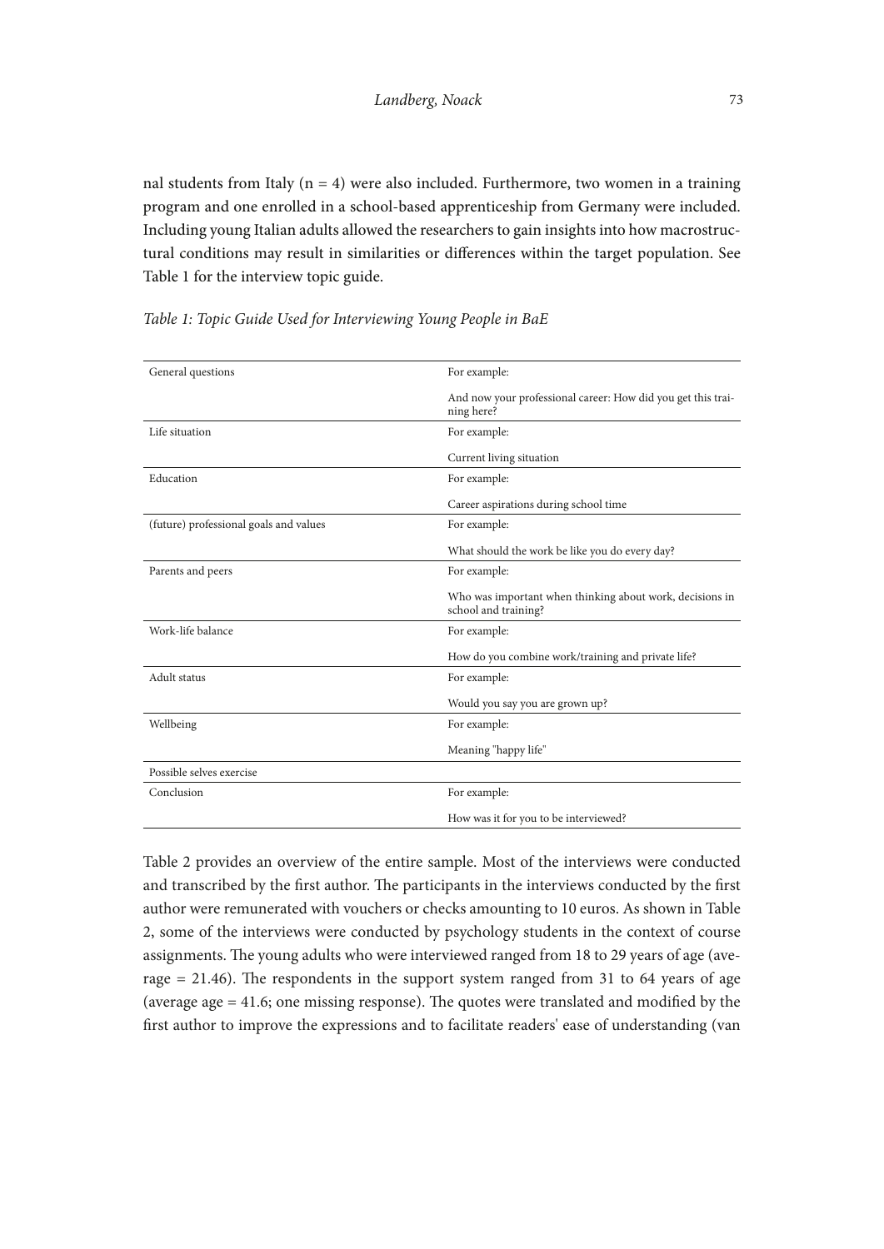nal students from Italy  $(n = 4)$  were also included. Furthermore, two women in a training program and one enrolled in a school-based apprenticeship from Germany were included. Including young Italian adults allowed the researchers to gain insights into how macrostructural conditions may result in similarities or diferences within the target population. See Table 1 for the interview topic guide.

| General questions                      | For example:                                                                     |
|----------------------------------------|----------------------------------------------------------------------------------|
|                                        | And now your professional career: How did you get this trai-<br>ning here?       |
| Life situation                         | For example:                                                                     |
|                                        | Current living situation                                                         |
| Education                              | For example:                                                                     |
|                                        | Career aspirations during school time                                            |
| (future) professional goals and values | For example:                                                                     |
|                                        | What should the work be like you do every day?                                   |
| Parents and peers                      | For example:                                                                     |
|                                        | Who was important when thinking about work, decisions in<br>school and training? |
| Work-life balance                      | For example:                                                                     |
|                                        | How do you combine work/training and private life?                               |
| Adult status                           | For example:                                                                     |
|                                        | Would you say you are grown up?                                                  |
| Wellbeing                              | For example:                                                                     |
|                                        | Meaning "happy life"                                                             |
| Possible selves exercise               |                                                                                  |
| Conclusion                             | For example:                                                                     |
|                                        | How was it for you to be interviewed?                                            |

*Table 1: Topic Guide Used for Interviewing Young People in BaE*

Table 2 provides an overview of the entire sample. Most of the interviews were conducted and transcribed by the first author. The participants in the interviews conducted by the first author were remunerated with vouchers or checks amounting to 10 euros. As shown in Table 2, some of the interviews were conducted by psychology students in the context of course assignments. The young adults who were interviewed ranged from 18 to 29 years of age (average  $= 21.46$ ). The respondents in the support system ranged from 31 to 64 years of age (average age  $= 41.6$ ; one missing response). The quotes were translated and modified by the frst author to improve the expressions and to facilitate readers' ease of understanding (van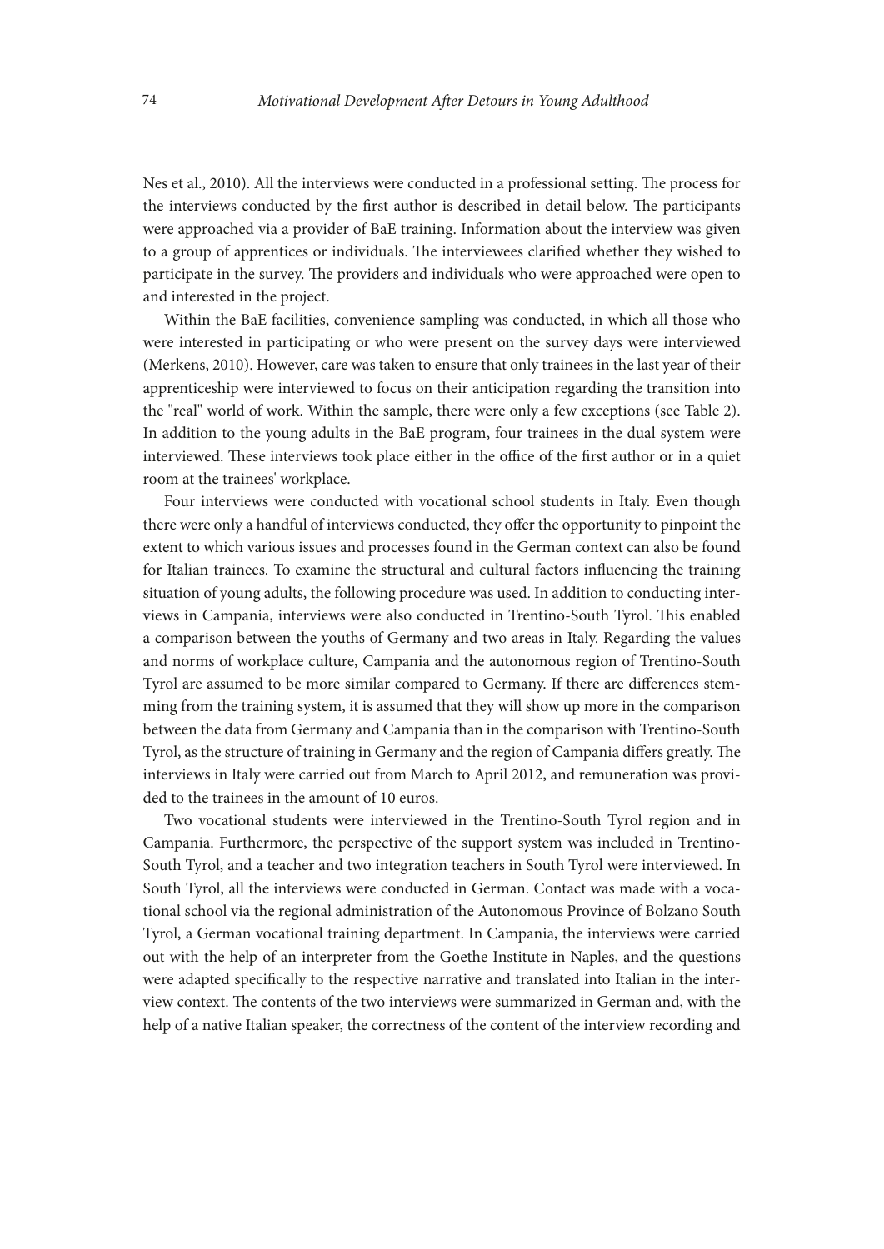Nes et al., 2010). All the interviews were conducted in a professional setting. The process for the interviews conducted by the first author is described in detail below. The participants were approached via a provider of BaE training. Information about the interview was given to a group of apprentices or individuals. The interviewees clarified whether they wished to participate in the survey. The providers and individuals who were approached were open to and interested in the project.

Within the BaE facilities, convenience sampling was conducted, in which all those who were interested in participating or who were present on the survey days were interviewed (Merkens, 2010). However, care was taken to ensure that only trainees in the last year of their apprenticeship were interviewed to focus on their anticipation regarding the transition into the "real" world of work. Within the sample, there were only a few exceptions (see Table 2). In addition to the young adults in the BaE program, four trainees in the dual system were interviewed. These interviews took place either in the office of the first author or in a quiet room at the trainees' workplace.

Four interviews were conducted with vocational school students in Italy. Even though there were only a handful of interviews conducted, they offer the opportunity to pinpoint the extent to which various issues and processes found in the German context can also be found for Italian trainees. To examine the structural and cultural factors infuencing the training situation of young adults, the following procedure was used. In addition to conducting interviews in Campania, interviews were also conducted in Trentino-South Tyrol. This enabled a comparison between the youths of Germany and two areas in Italy. Regarding the values and norms of workplace culture, Campania and the autonomous region of Trentino-South Tyrol are assumed to be more similar compared to Germany. If there are diferences stemming from the training system, it is assumed that they will show up more in the comparison between the data from Germany and Campania than in the comparison with Trentino-South Tyrol, as the structure of training in Germany and the region of Campania differs greatly. The interviews in Italy were carried out from March to April 2012, and remuneration was provided to the trainees in the amount of 10 euros.

Two vocational students were interviewed in the Trentino-South Tyrol region and in Campania. Furthermore, the perspective of the support system was included in Trentino-South Tyrol, and a teacher and two integration teachers in South Tyrol were interviewed. In South Tyrol, all the interviews were conducted in German. Contact was made with a vocational school via the regional administration of the Autonomous Province of Bolzano South Tyrol, a German vocational training department. In Campania, the interviews were carried out with the help of an interpreter from the Goethe Institute in Naples, and the questions were adapted specifcally to the respective narrative and translated into Italian in the interview context. The contents of the two interviews were summarized in German and, with the help of a native Italian speaker, the correctness of the content of the interview recording and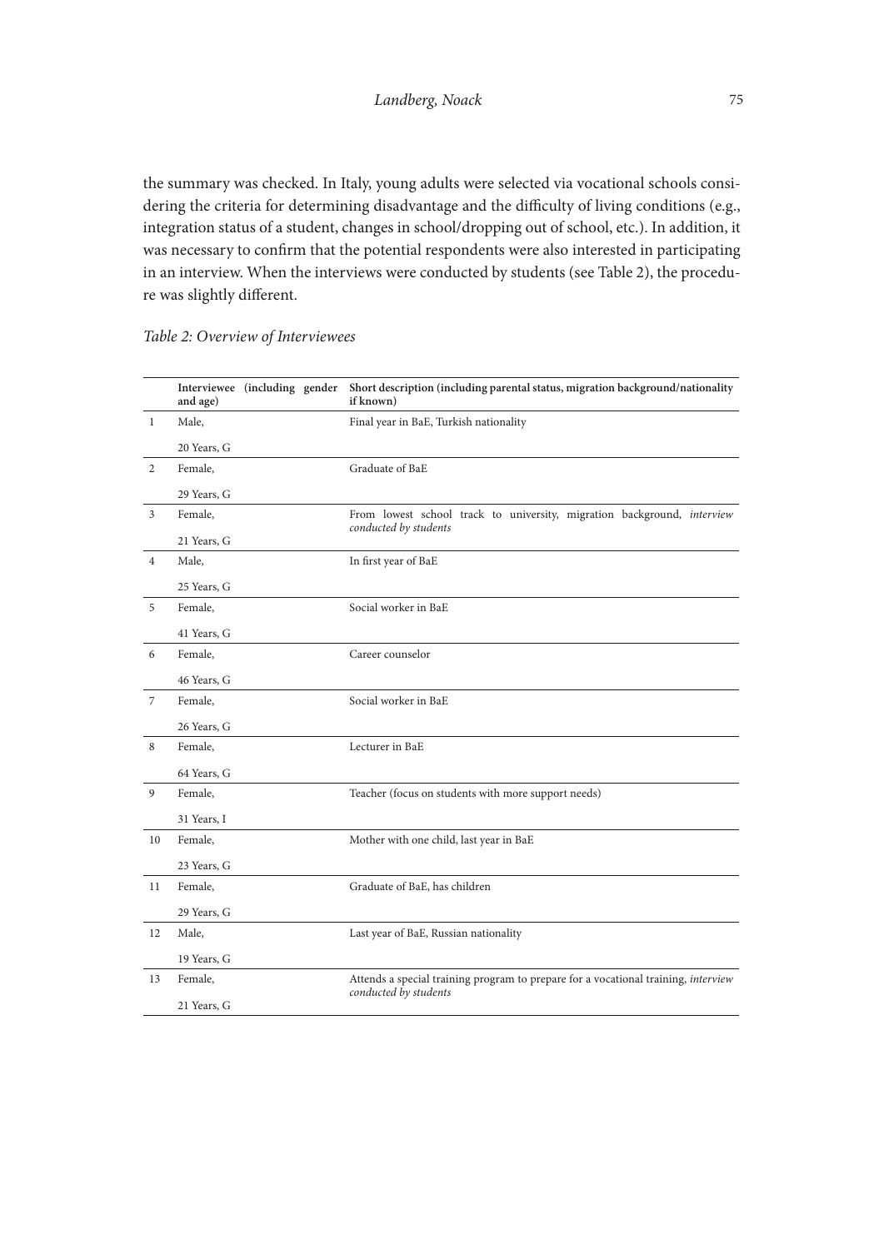the summary was checked. In Italy, young adults were selected via vocational schools considering the criteria for determining disadvantage and the difficulty of living conditions (e.g., integration status of a student, changes in school/dropping out of school, etc.). In addition, it was necessary to confrm that the potential respondents were also interested in participating in an interview. When the interviews were conducted by students (see Table 2), the procedure was slightly diferent.

|                | Interviewee (including gender<br>and age) |  | Short description (including parental status, migration background/nationality<br>if known) |
|----------------|-------------------------------------------|--|---------------------------------------------------------------------------------------------|
| $\mathbf{1}$   | Male,                                     |  | Final year in BaE, Turkish nationality                                                      |
|                | 20 Years, G                               |  |                                                                                             |
| $\overline{2}$ | Female,                                   |  | Graduate of BaE                                                                             |
|                | 29 Years, G                               |  |                                                                                             |
| 3              | Female,                                   |  | From lowest school track to university, migration background, interview                     |
|                | 21 Years, G                               |  | conducted by students                                                                       |
| $\overline{4}$ | Male,                                     |  | In first year of BaE                                                                        |
|                | 25 Years, G                               |  |                                                                                             |
| 5              | Female,                                   |  | Social worker in BaE                                                                        |
|                | 41 Years, G                               |  |                                                                                             |
| 6              | Female,                                   |  | Career counselor                                                                            |
|                | 46 Years, G                               |  |                                                                                             |
| 7              | Female,                                   |  | Social worker in BaE                                                                        |
|                | 26 Years, G                               |  |                                                                                             |
| 8              | Female,                                   |  | Lecturer in BaE                                                                             |
|                | 64 Years, G                               |  |                                                                                             |
| 9              | Female,                                   |  | Teacher (focus on students with more support needs)                                         |
|                | 31 Years, I                               |  |                                                                                             |
| 10             | Female,                                   |  | Mother with one child, last year in BaE                                                     |
|                | 23 Years, G                               |  |                                                                                             |
| 11             | Female,                                   |  | Graduate of BaE, has children                                                               |
|                | 29 Years, G                               |  |                                                                                             |
| 12             | Male,                                     |  | Last year of BaE, Russian nationality                                                       |
|                | 19 Years, G                               |  |                                                                                             |
| 13             | Female,                                   |  | Attends a special training program to prepare for a vocational training, interview          |
|                | 21 Years, G                               |  | conducted by students                                                                       |

### *Table 2: Overview of Interviewees*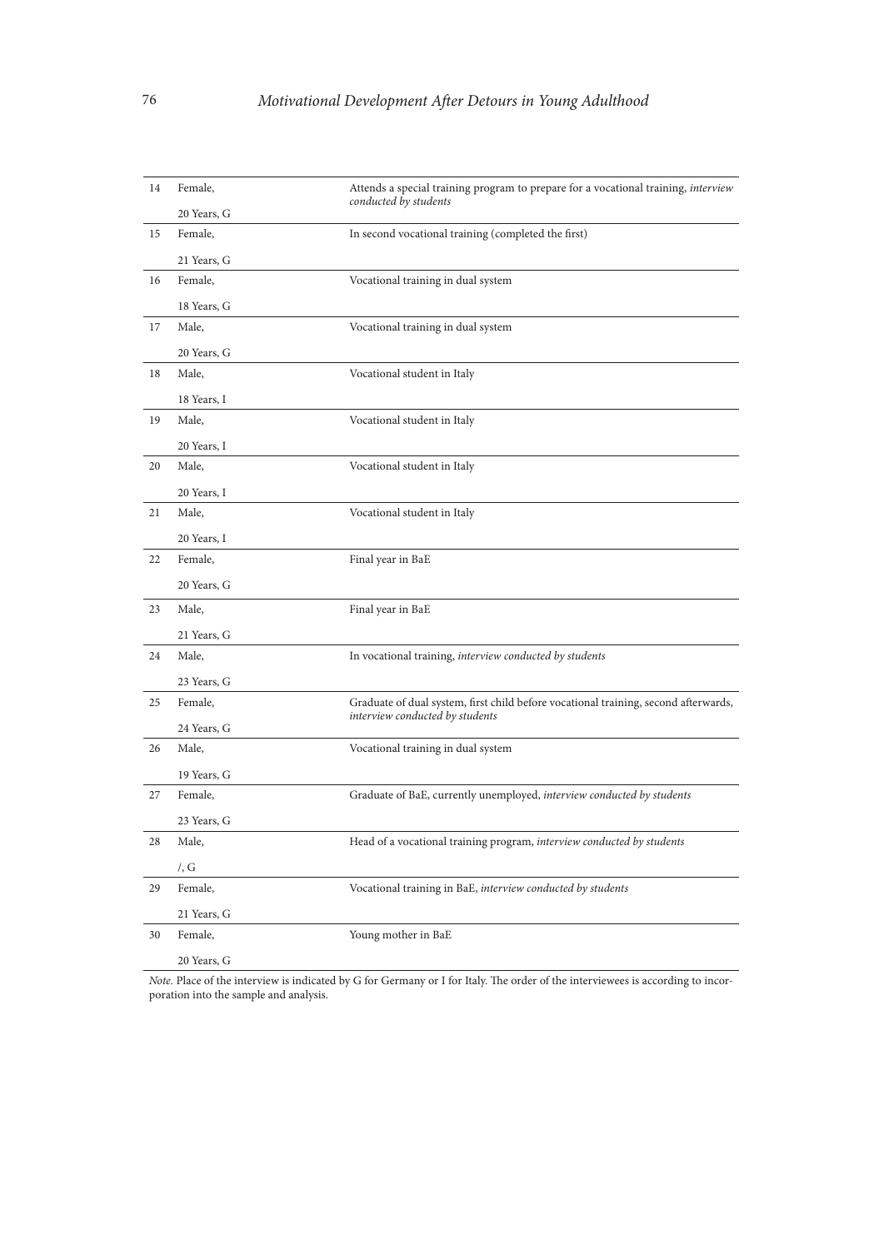| 14 | Female,     | Attends a special training program to prepare for a vocational training, interview                                     |
|----|-------------|------------------------------------------------------------------------------------------------------------------------|
|    | 20 Years, G | conducted by students                                                                                                  |
| 15 | Female,     | In second vocational training (completed the first)                                                                    |
|    | 21 Years, G |                                                                                                                        |
| 16 | Female,     | Vocational training in dual system                                                                                     |
|    | 18 Years, G |                                                                                                                        |
| 17 | Male,       | Vocational training in dual system                                                                                     |
|    | 20 Years, G |                                                                                                                        |
| 18 | Male,       | Vocational student in Italy                                                                                            |
|    | 18 Years, I |                                                                                                                        |
| 19 | Male,       | Vocational student in Italy                                                                                            |
|    | 20 Years, I |                                                                                                                        |
| 20 | Male,       | Vocational student in Italy                                                                                            |
|    | 20 Years, I |                                                                                                                        |
| 21 | Male,       | Vocational student in Italy                                                                                            |
|    | 20 Years, I |                                                                                                                        |
| 22 | Female,     | Final year in BaE                                                                                                      |
|    | 20 Years, G |                                                                                                                        |
| 23 | Male,       | Final year in BaE                                                                                                      |
|    | 21 Years, G |                                                                                                                        |
| 24 | Male,       | In vocational training, interview conducted by students                                                                |
|    | 23 Years, G |                                                                                                                        |
| 25 | Female,     | Graduate of dual system, first child before vocational training, second afterwards,<br>interview conducted by students |
|    | 24 Years, G |                                                                                                                        |
| 26 | Male,       | Vocational training in dual system                                                                                     |
|    |             |                                                                                                                        |
| 27 | 19 Years, G |                                                                                                                        |
|    | Female,     | Graduate of BaE, currently unemployed, interview conducted by students                                                 |
|    | 23 Years, G |                                                                                                                        |
| 28 | Male,       | Head of a vocational training program, interview conducted by students                                                 |
|    | /, G        |                                                                                                                        |
| 29 | Female,     | Vocational training in BaE, interview conducted by students                                                            |
|    | 21 Years, G |                                                                                                                        |
| 30 | Female,     | Young mother in BaE                                                                                                    |

*Note.* Place of the interview is indicated by G for Germany or I for Italy. The order of the interviewees is according to incorporation into the sample and analysis.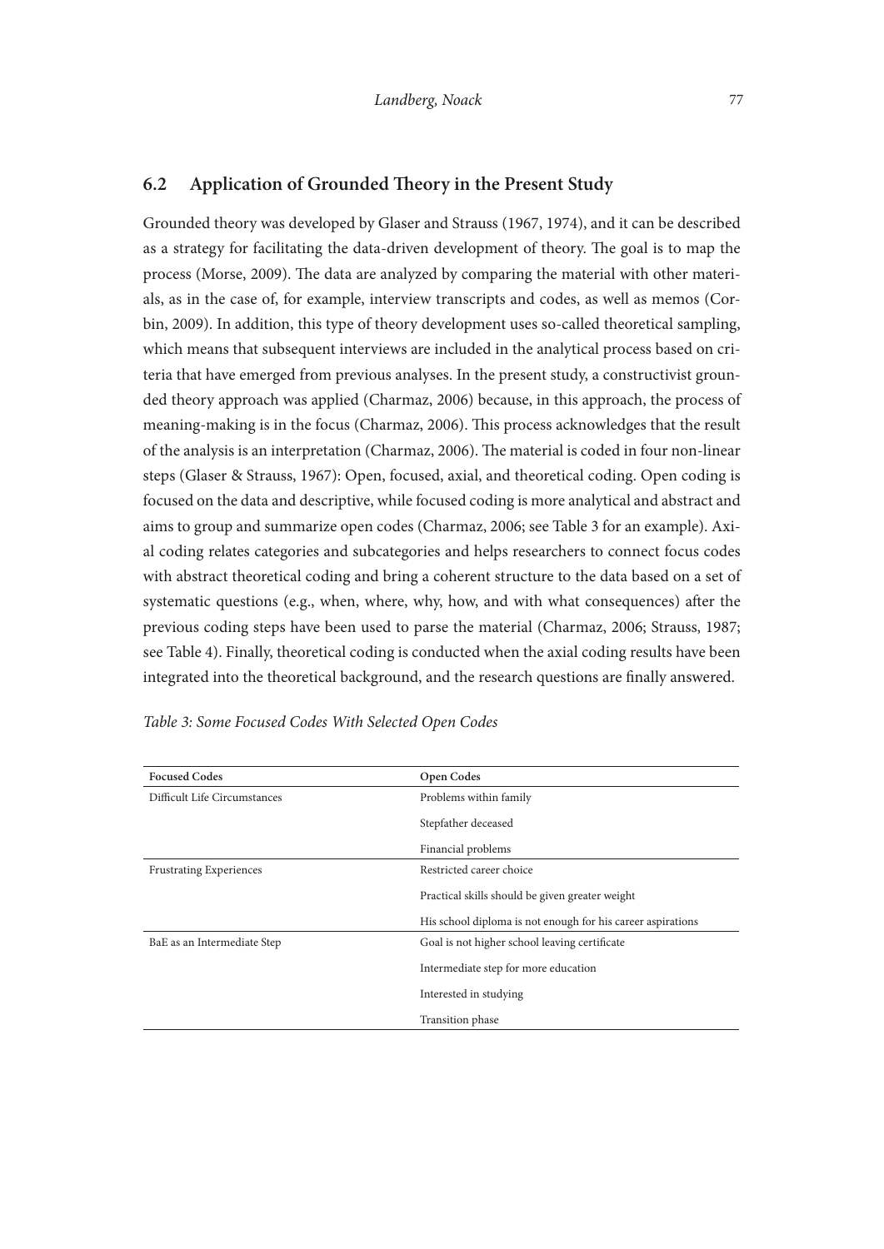Grounded theory was developed by Glaser and Strauss (1967, 1974), and it can be described as a strategy for facilitating the data-driven development of theory. The goal is to map the process (Morse, 2009). The data are analyzed by comparing the material with other materials, as in the case of, for example, interview transcripts and codes, as well as memos (Corbin, 2009). In addition, this type of theory development uses so-called theoretical sampling, which means that subsequent interviews are included in the analytical process based on criteria that have emerged from previous analyses. In the present study, a constructivist grounded theory approach was applied (Charmaz, 2006) because, in this approach, the process of meaning-making is in the focus (Charmaz, 2006). This process acknowledges that the result of the analysis is an interpretation (Charmaz, 2006). The material is coded in four non-linear steps (Glaser & Strauss, 1967): Open, focused, axial, and theoretical coding. Open coding is focused on the data and descriptive, while focused coding is more analytical and abstract and aims to group and summarize open codes (Charmaz, 2006; see Table 3 for an example). Axial coding relates categories and subcategories and helps researchers to connect focus codes with abstract theoretical coding and bring a coherent structure to the data based on a set of systematic questions (e.g., when, where, why, how, and with what consequences) afer the previous coding steps have been used to parse the material (Charmaz, 2006; Strauss, 1987; see Table 4). Finally, theoretical coding is conducted when the axial coding results have been integrated into the theoretical background, and the research questions are fnally answered.

| <b>Focused Codes</b>           | <b>Open Codes</b>                                           |  |
|--------------------------------|-------------------------------------------------------------|--|
| Difficult Life Circumstances   | Problems within family                                      |  |
|                                | Stepfather deceased                                         |  |
|                                | Financial problems                                          |  |
| <b>Frustrating Experiences</b> | Restricted career choice                                    |  |
|                                | Practical skills should be given greater weight             |  |
|                                | His school diploma is not enough for his career aspirations |  |
| BaE as an Intermediate Step    | Goal is not higher school leaving certificate               |  |
|                                | Intermediate step for more education                        |  |
|                                | Interested in studying                                      |  |
|                                | Transition phase                                            |  |

| Table 3: Some Focused Codes With Selected Open Codes |  |  |
|------------------------------------------------------|--|--|
|------------------------------------------------------|--|--|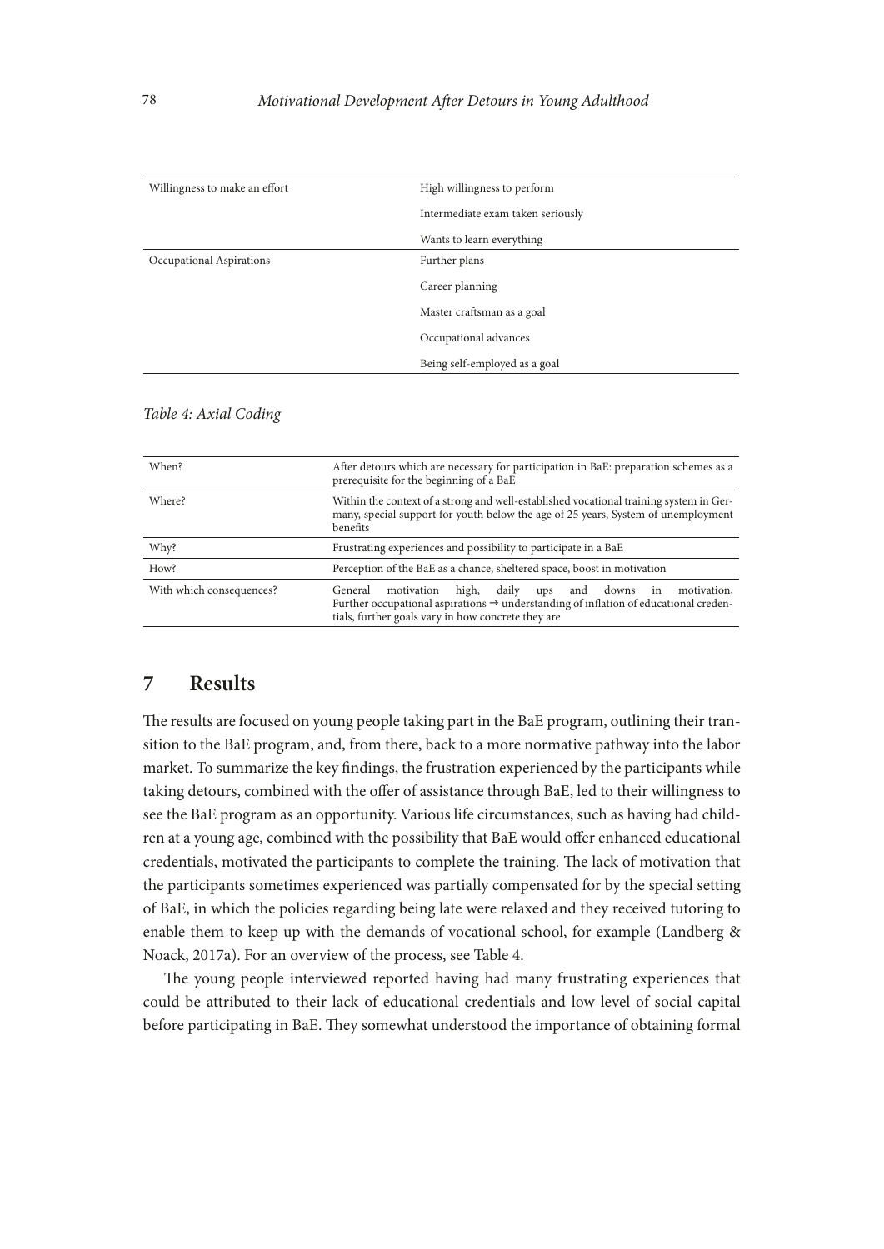| Willingness to make an effort | High willingness to perform       |
|-------------------------------|-----------------------------------|
|                               | Intermediate exam taken seriously |
|                               | Wants to learn everything         |
| Occupational Aspirations      | Further plans                     |
|                               | Career planning                   |
|                               | Master craftsman as a goal        |
|                               | Occupational advances             |
|                               | Being self-employed as a goal     |
|                               |                                   |

| When?                    | After detours which are necessary for participation in BaE: preparation schemes as a<br>prerequisite for the beginning of a BaE                                                                                                            |  |
|--------------------------|--------------------------------------------------------------------------------------------------------------------------------------------------------------------------------------------------------------------------------------------|--|
| Where?                   | Within the context of a strong and well-established vocational training system in Ger-<br>many, special support for youth below the age of 25 years, System of unemployment<br>benefits                                                    |  |
| Why?                     | Frustrating experiences and possibility to participate in a BaE                                                                                                                                                                            |  |
| How?                     | Perception of the BaE as a chance, sheltered space, boost in motivation                                                                                                                                                                    |  |
| With which consequences? | motivation<br>high,<br>daily<br>ups and<br>downs<br>motivation.<br>General<br>in<br>Further occupational aspirations $\rightarrow$ understanding of inflation of educational creden-<br>tials, further goals vary in how concrete they are |  |

#### *Table 4: Axial Coding*

# **7 Results**

The results are focused on young people taking part in the BaE program, outlining their transition to the BaE program, and, from there, back to a more normative pathway into the labor market. To summarize the key fndings, the frustration experienced by the participants while taking detours, combined with the offer of assistance through BaE, led to their willingness to see the BaE program as an opportunity. Various life circumstances, such as having had children at a young age, combined with the possibility that BaE would offer enhanced educational credentials, motivated the participants to complete the training. The lack of motivation that the participants sometimes experienced was partially compensated for by the special setting of BaE, in which the policies regarding being late were relaxed and they received tutoring to enable them to keep up with the demands of vocational school, for example (Landberg & Noack, 2017a). For an overview of the process, see Table 4.

The young people interviewed reported having had many frustrating experiences that could be attributed to their lack of educational credentials and low level of social capital before participating in BaE. They somewhat understood the importance of obtaining formal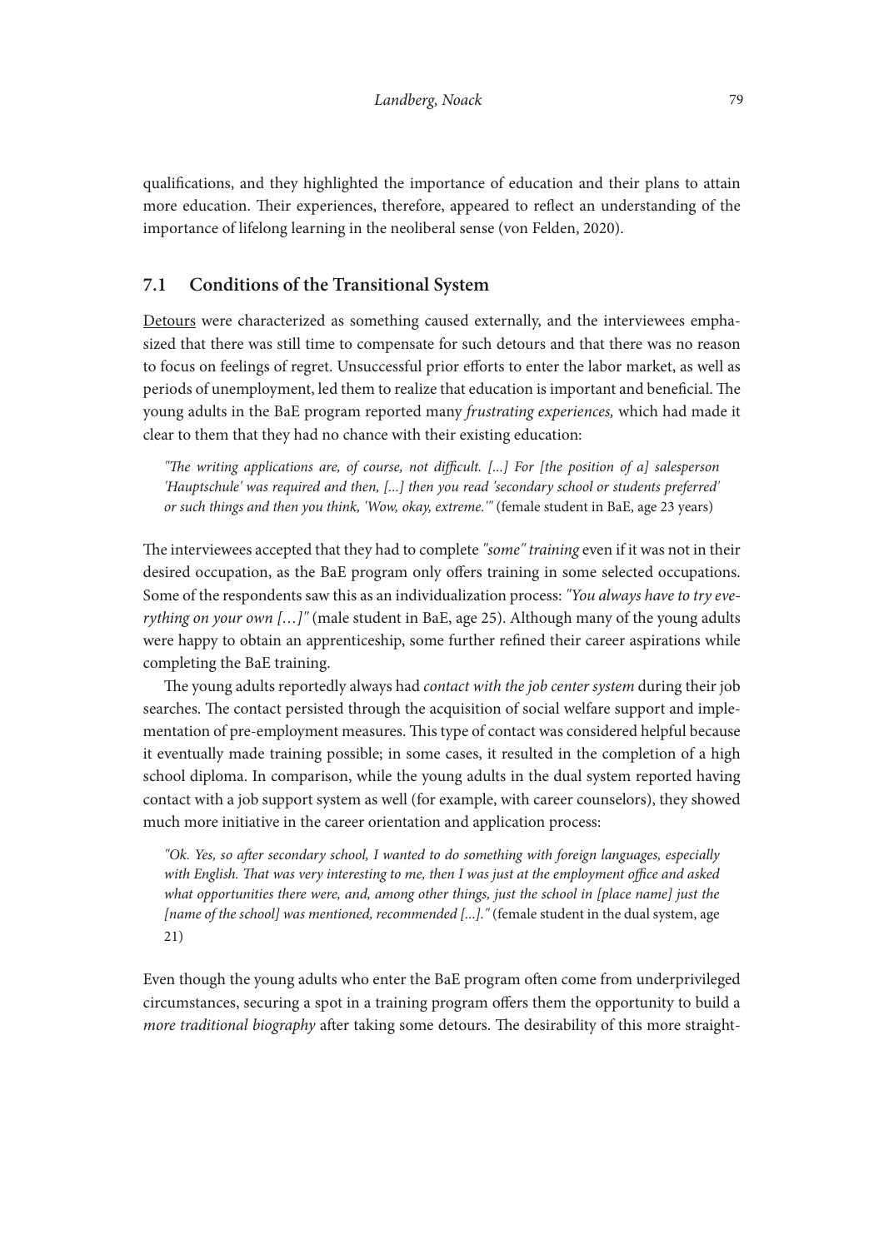qualifcations, and they highlighted the importance of education and their plans to attain more education. Their experiences, therefore, appeared to reflect an understanding of the importance of lifelong learning in the neoliberal sense (von Felden, 2020).

## **7.1 Conditions of the Transitional System**

Detours were characterized as something caused externally, and the interviewees emphasized that there was still time to compensate for such detours and that there was no reason to focus on feelings of regret. Unsuccessful prior efforts to enter the labor market, as well as periods of unemployment, led them to realize that education is important and beneficial. The young adults in the BaE program reported many *frustrating experiences,* which had made it clear to them that they had no chance with their existing education:

*"Te writing applications are, of course, not difcult. [...] For [the position of a] salesperson 'Hauptschule' was required and then, [...] then you read 'secondary school or students preferred' or such things and then you think, 'Wow, okay, extreme.'"* (female student in BaE, age 23 years)

The interviewees accepted that they had to complete "some" training even if it was not in their desired occupation, as the BaE program only offers training in some selected occupations. Some of the respondents saw this as an individualization process: *"You always have to try everything on your own […]"* (male student in BaE, age 25). Although many of the young adults were happy to obtain an apprenticeship, some further refned their career aspirations while completing the BaE training.

The young adults reportedly always had *contact with the job center system* during their job searches. The contact persisted through the acquisition of social welfare support and implementation of pre-employment measures. Tis type of contact was considered helpful because it eventually made training possible; in some cases, it resulted in the completion of a high school diploma. In comparison, while the young adults in the dual system reported having contact with a job support system as well (for example, with career counselors), they showed much more initiative in the career orientation and application process:

*"Ok. Yes, so afer secondary school, I wanted to do something with foreign languages, especially*  with English. That was very interesting to me, then I was just at the employment office and asked *what opportunities there were, and, among other things, just the school in [place name] just the [name of the school] was mentioned, recommended [...].*" (female student in the dual system, age 21)

Even though the young adults who enter the BaE program often come from underprivileged circumstances, securing a spot in a training program ofers them the opportunity to build a *more traditional biography* after taking some detours. The desirability of this more straight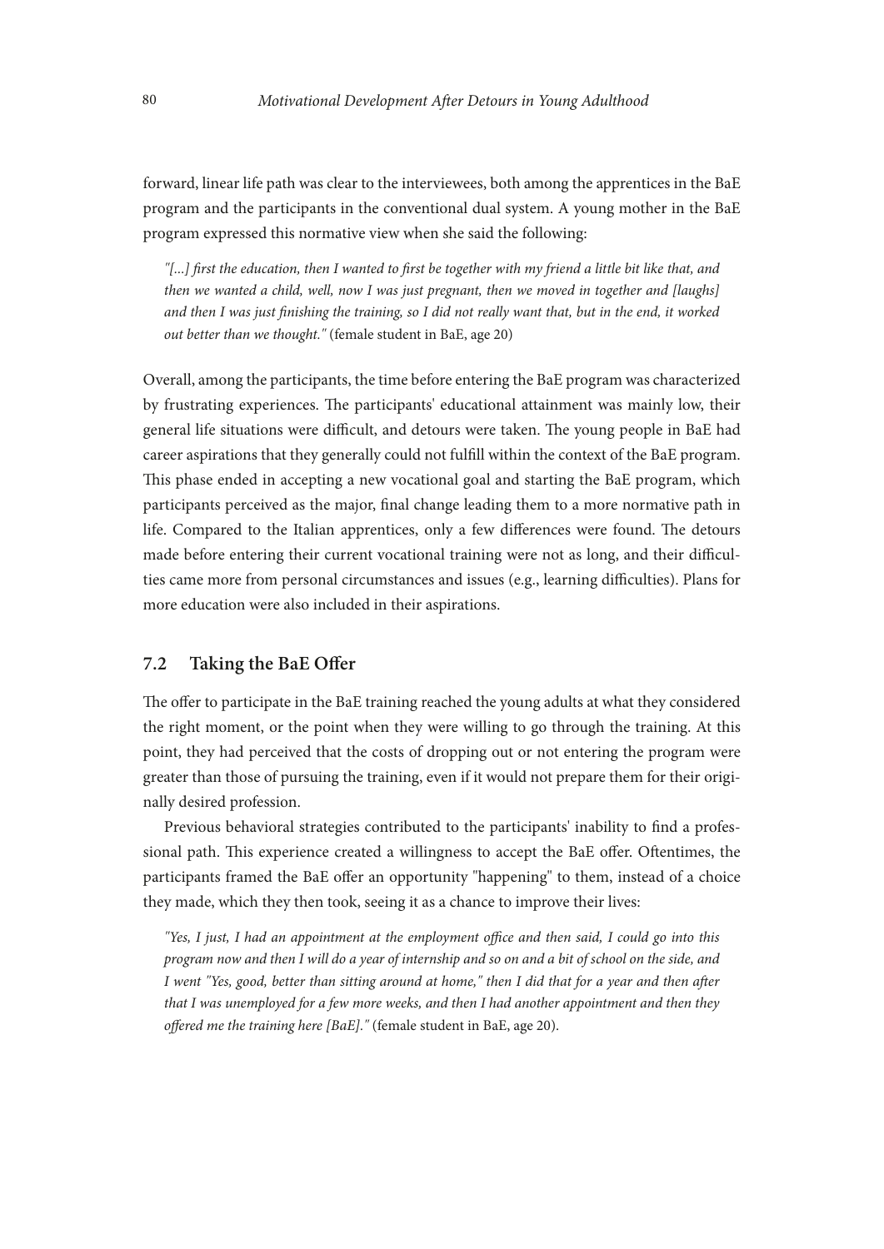forward, linear life path was clear to the interviewees, both among the apprentices in the BaE program and the participants in the conventional dual system. A young mother in the BaE program expressed this normative view when she said the following:

*"[...] frst the education, then I wanted to frst be together with my friend a little bit like that, and then we wanted a child, well, now I was just pregnant, then we moved in together and [laughs] and then I was just fnishing the training, so I did not really want that, but in the end, it worked out better than we thought."* (female student in BaE, age 20)

Overall, among the participants, the time before entering the BaE program was characterized by frustrating experiences. The participants' educational attainment was mainly low, their general life situations were difficult, and detours were taken. The young people in BaE had career aspirations that they generally could not fulfll within the context of the BaE program. This phase ended in accepting a new vocational goal and starting the BaE program, which participants perceived as the major, fnal change leading them to a more normative path in life. Compared to the Italian apprentices, only a few differences were found. The detours made before entering their current vocational training were not as long, and their difficulties came more from personal circumstances and issues (e.g., learning difficulties). Plans for more education were also included in their aspirations.

### **7.2 Taking the BaE Ofer**

The offer to participate in the BaE training reached the young adults at what they considered the right moment, or the point when they were willing to go through the training. At this point, they had perceived that the costs of dropping out or not entering the program were greater than those of pursuing the training, even if it would not prepare them for their originally desired profession.

Previous behavioral strategies contributed to the participants' inability to fnd a professional path. This experience created a willingness to accept the BaE offer. Oftentimes, the participants framed the BaE offer an opportunity "happening" to them, instead of a choice they made, which they then took, seeing it as a chance to improve their lives:

*"Yes, I just, I had an appointment at the employment office and then said, I could go into this program now and then I will do a year of internship and so on and a bit of school on the side, and I went "Yes, good, better than sitting around at home," then I did that for a year and then afer that I was unemployed for a few more weeks, and then I had another appointment and then they ofered me the training here [BaE]."* (female student in BaE, age 20).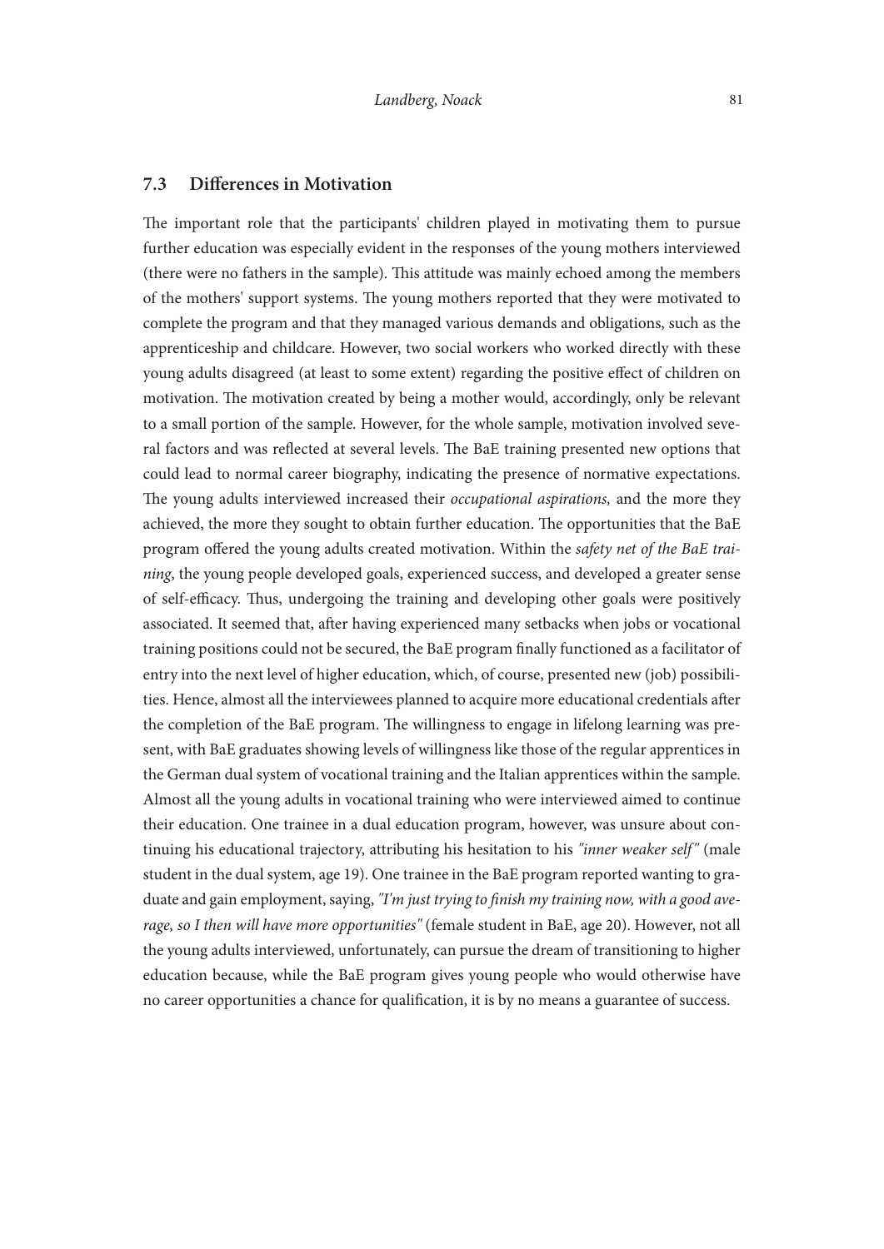#### **7.3 Diferences in Motivation**

The important role that the participants' children played in motivating them to pursue further education was especially evident in the responses of the young mothers interviewed (there were no fathers in the sample). Tis attitude was mainly echoed among the members of the mothers' support systems. The young mothers reported that they were motivated to complete the program and that they managed various demands and obligations, such as the apprenticeship and childcare. However, two social workers who worked directly with these young adults disagreed (at least to some extent) regarding the positive efect of children on motivation. The motivation created by being a mother would, accordingly, only be relevant to a small portion of the sample. However, for the whole sample, motivation involved several factors and was reflected at several levels. The BaE training presented new options that could lead to normal career biography, indicating the presence of normative expectations. The young adults interviewed increased their *occupational aspirations*, and the more they achieved, the more they sought to obtain further education. The opportunities that the BaE program ofered the young adults created motivation. Within the *safety net of the BaE training*, the young people developed goals, experienced success, and developed a greater sense of self-efficacy. Thus, undergoing the training and developing other goals were positively associated. It seemed that, after having experienced many setbacks when jobs or vocational training positions could not be secured, the BaE program fnally functioned as a facilitator of entry into the next level of higher education, which, of course, presented new (job) possibilities. Hence, almost all the interviewees planned to acquire more educational credentials afer the completion of the BaE program. The willingness to engage in lifelong learning was present, with BaE graduates showing levels of willingness like those of the regular apprentices in the German dual system of vocational training and the Italian apprentices within the sample. Almost all the young adults in vocational training who were interviewed aimed to continue their education. One trainee in a dual education program, however, was unsure about continuing his educational trajectory, attributing his hesitation to his *"inner weaker self"* (male student in the dual system, age 19). One trainee in the BaE program reported wanting to graduate and gain employment, saying, *"I'm just trying to fnish my training now, with a good average, so I then will have more opportunities"* (female student in BaE, age 20). However, not all the young adults interviewed, unfortunately, can pursue the dream of transitioning to higher education because, while the BaE program gives young people who would otherwise have no career opportunities a chance for qualifcation, it is by no means a guarantee of success.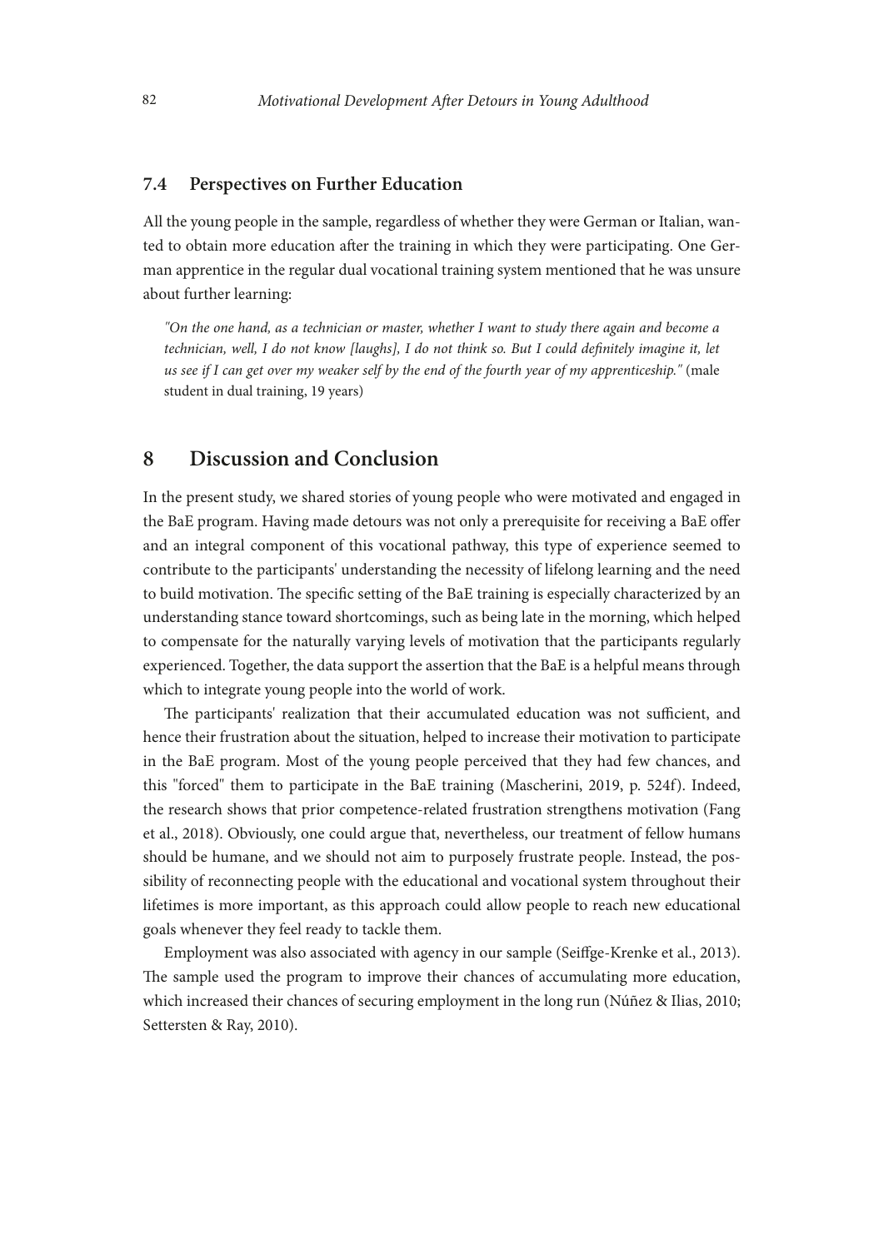#### **7.4 Perspectives on Further Education**

All the young people in the sample, regardless of whether they were German or Italian, wanted to obtain more education afer the training in which they were participating. One German apprentice in the regular dual vocational training system mentioned that he was unsure about further learning:

*"On the one hand, as a technician or master, whether I want to study there again and become a technician, well, I do not know [laughs], I do not think so. But I could defnitely imagine it, let us see if I can get over my weaker self by the end of the fourth year of my apprenticeship."* (male student in dual training, 19 years)

# **8 Discussion and Conclusion**

In the present study, we shared stories of young people who were motivated and engaged in the BaE program. Having made detours was not only a prerequisite for receiving a BaE ofer and an integral component of this vocational pathway, this type of experience seemed to contribute to the participants' understanding the necessity of lifelong learning and the need to build motivation. The specific setting of the BaE training is especially characterized by an understanding stance toward shortcomings, such as being late in the morning, which helped to compensate for the naturally varying levels of motivation that the participants regularly experienced. Together, the data support the assertion that the BaE is a helpful means through which to integrate young people into the world of work.

The participants' realization that their accumulated education was not sufficient, and hence their frustration about the situation, helped to increase their motivation to participate in the BaE program. Most of the young people perceived that they had few chances, and this "forced" them to participate in the BaE training (Mascherini, 2019, p. 524f). Indeed, the research shows that prior competence-related frustration strengthens motivation (Fang et al., 2018). Obviously, one could argue that, nevertheless, our treatment of fellow humans should be humane, and we should not aim to purposely frustrate people. Instead, the possibility of reconnecting people with the educational and vocational system throughout their lifetimes is more important, as this approach could allow people to reach new educational goals whenever they feel ready to tackle them.

Employment was also associated with agency in our sample (Seifge-Krenke et al., 2013). The sample used the program to improve their chances of accumulating more education, which increased their chances of securing employment in the long run (Núñez & Ilias, 2010; Settersten & Ray, 2010).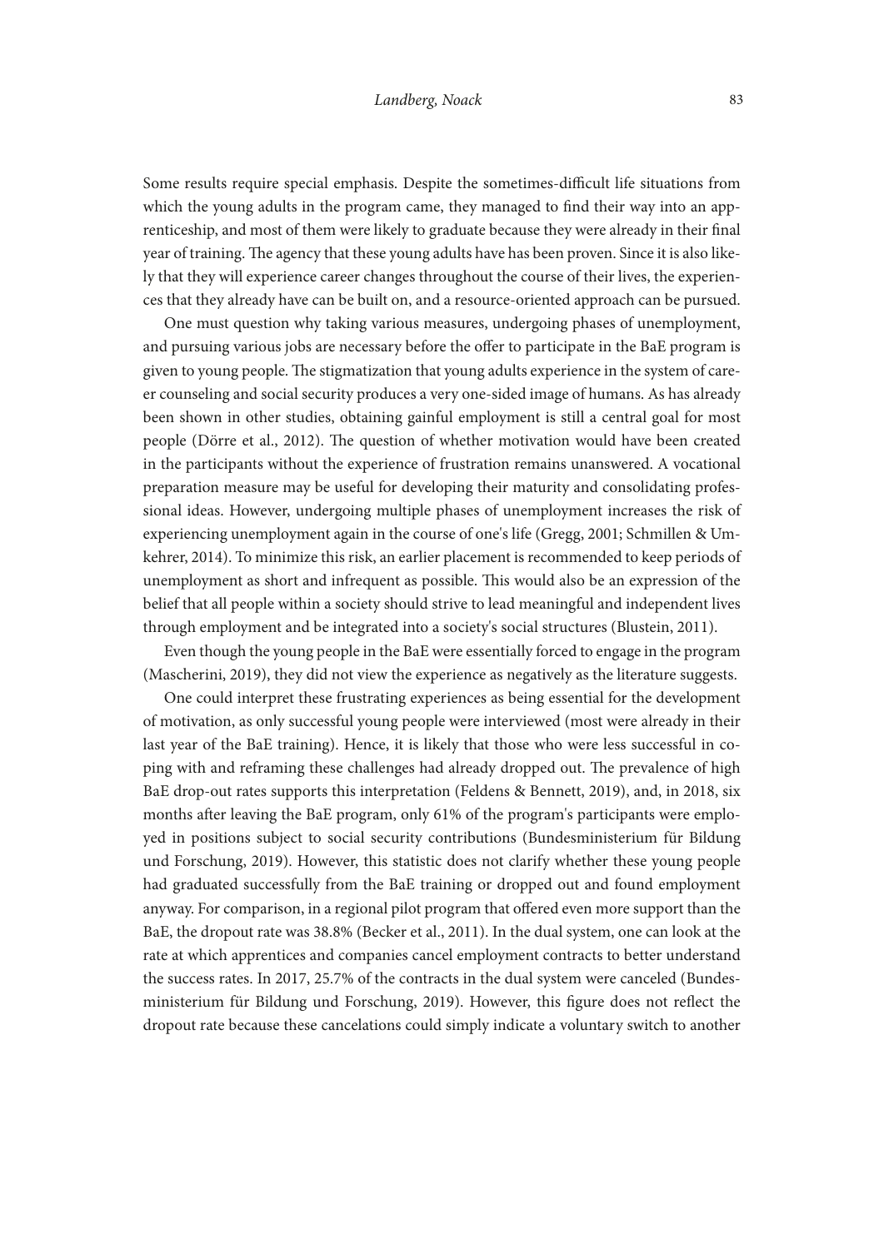Some results require special emphasis. Despite the sometimes-difficult life situations from which the young adults in the program came, they managed to fnd their way into an apprenticeship, and most of them were likely to graduate because they were already in their fnal year of training. The agency that these young adults have has been proven. Since it is also likely that they will experience career changes throughout the course of their lives, the experiences that they already have can be built on, and a resource-oriented approach can be pursued.

One must question why taking various measures, undergoing phases of unemployment, and pursuing various jobs are necessary before the offer to participate in the BaE program is given to young people. The stigmatization that young adults experience in the system of career counseling and social security produces a very one-sided image of humans. As has already been shown in other studies, obtaining gainful employment is still a central goal for most people (Dörre et al., 2012). The question of whether motivation would have been created in the participants without the experience of frustration remains unanswered. A vocational preparation measure may be useful for developing their maturity and consolidating professional ideas. However, undergoing multiple phases of unemployment increases the risk of experiencing unemployment again in the course of one's life (Gregg, 2001; Schmillen & Umkehrer, 2014). To minimize this risk, an earlier placement is recommended to keep periods of unemployment as short and infrequent as possible. Tis would also be an expression of the belief that all people within a society should strive to lead meaningful and independent lives through employment and be integrated into a society's social structures (Blustein, 2011).

Even though the young people in the BaE were essentially forced to engage in the program (Mascherini, 2019), they did not view the experience as negatively as the literature suggests.

One could interpret these frustrating experiences as being essential for the development of motivation, as only successful young people were interviewed (most were already in their last year of the BaE training). Hence, it is likely that those who were less successful in coping with and reframing these challenges had already dropped out. The prevalence of high BaE drop-out rates supports this interpretation (Feldens & Bennett, 2019), and, in 2018, six months after leaving the BaE program, only 61% of the program's participants were employed in positions subject to social security contributions (Bundesministerium fur Bildung und Forschung, 2019). However, this statistic does not clarify whether these young people had graduated successfully from the BaE training or dropped out and found employment anyway. For comparison, in a regional pilot program that ofered even more support than the BaE, the dropout rate was 38.8% (Becker et al., 2011). In the dual system, one can look at the rate at which apprentices and companies cancel employment contracts to better understand the success rates. In 2017, 25.7% of the contracts in the dual system were canceled (Bundesministerium fur Bildung und Forschung, 2019). However, this fgure does not refect the dropout rate because these cancelations could simply indicate a voluntary switch to another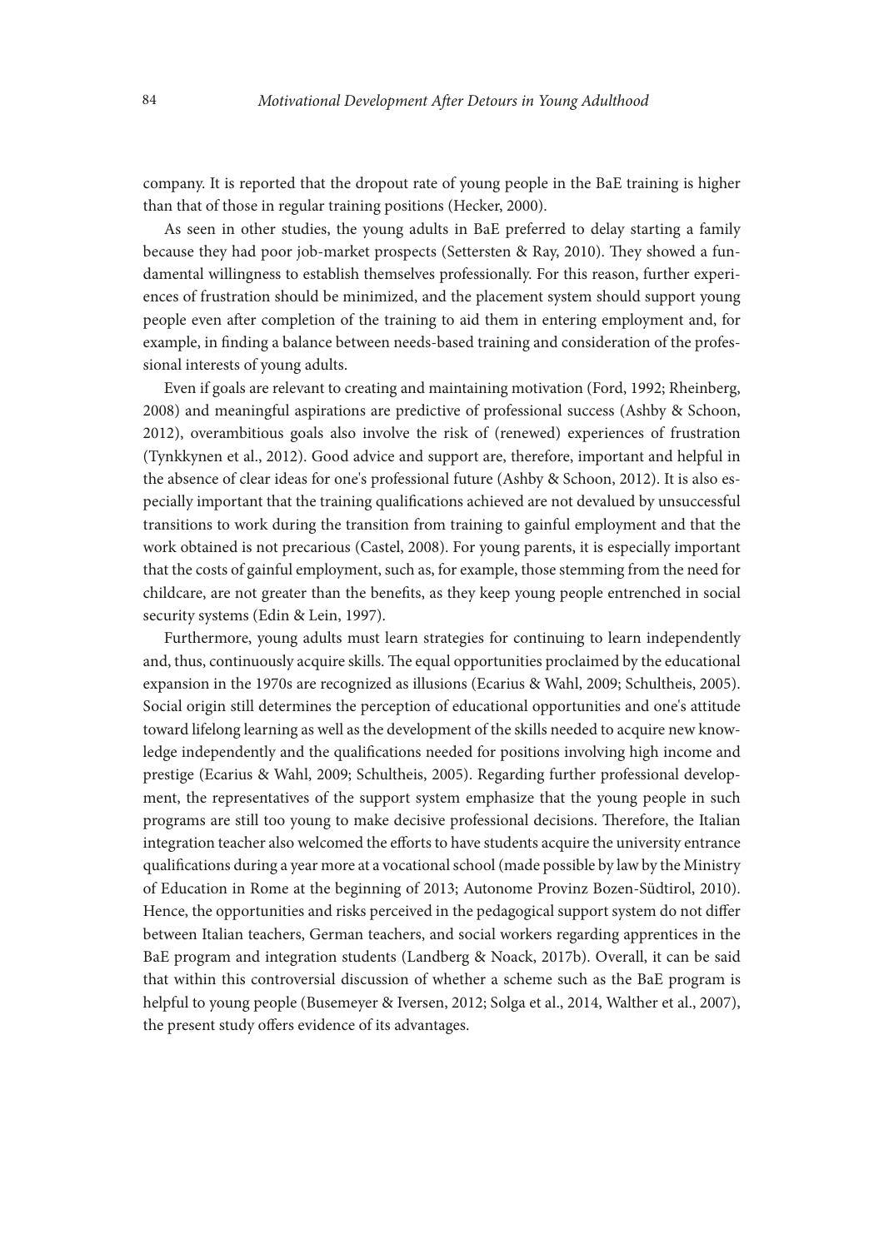company. It is reported that the dropout rate of young people in the BaE training is higher than that of those in regular training positions (Hecker, 2000).

As seen in other studies, the young adults in BaE preferred to delay starting a family because they had poor job-market prospects (Settersten & Ray, 2010). They showed a fundamental willingness to establish themselves professionally. For this reason, further experiences of frustration should be minimized, and the placement system should support young people even afer completion of the training to aid them in entering employment and, for example, in fnding a balance between needs-based training and consideration of the professional interests of young adults.

Even if goals are relevant to creating and maintaining motivation (Ford, 1992; Rheinberg, 2008) and meaningful aspirations are predictive of professional success (Ashby & Schoon, 2012), overambitious goals also involve the risk of (renewed) experiences of frustration (Tynkkynen et al., 2012). Good advice and support are, therefore, important and helpful in the absence of clear ideas for one's professional future (Ashby & Schoon, 2012). It is also especially important that the training qualifcations achieved are not devalued by unsuccessful transitions to work during the transition from training to gainful employment and that the work obtained is not precarious (Castel, 2008). For young parents, it is especially important that the costs of gainful employment, such as, for example, those stemming from the need for childcare, are not greater than the benefts, as they keep young people entrenched in social security systems (Edin & Lein, 1997).

Furthermore, young adults must learn strategies for continuing to learn independently and, thus, continuously acquire skills. The equal opportunities proclaimed by the educational expansion in the 1970s are recognized as illusions (Ecarius & Wahl, 2009; Schultheis, 2005). Social origin still determines the perception of educational opportunities and one's attitude toward lifelong learning as well as the development of the skills needed to acquire new knowledge independently and the qualifcations needed for positions involving high income and prestige (Ecarius & Wahl, 2009; Schultheis, 2005). Regarding further professional development, the representatives of the support system emphasize that the young people in such programs are still too young to make decisive professional decisions. Therefore, the Italian integration teacher also welcomed the efforts to have students acquire the university entrance qualifcations during a year more at a vocational school (made possible by law by the Ministry of Education in Rome at the beginning of 2013; Autonome Provinz Bozen-Südtirol, 2010). Hence, the opportunities and risks perceived in the pedagogical support system do not difer between Italian teachers, German teachers, and social workers regarding apprentices in the BaE program and integration students (Landberg & Noack, 2017b). Overall, it can be said that within this controversial discussion of whether a scheme such as the BaE program is helpful to young people (Busemeyer & Iversen, 2012; Solga et al., 2014, Walther et al., 2007), the present study offers evidence of its advantages.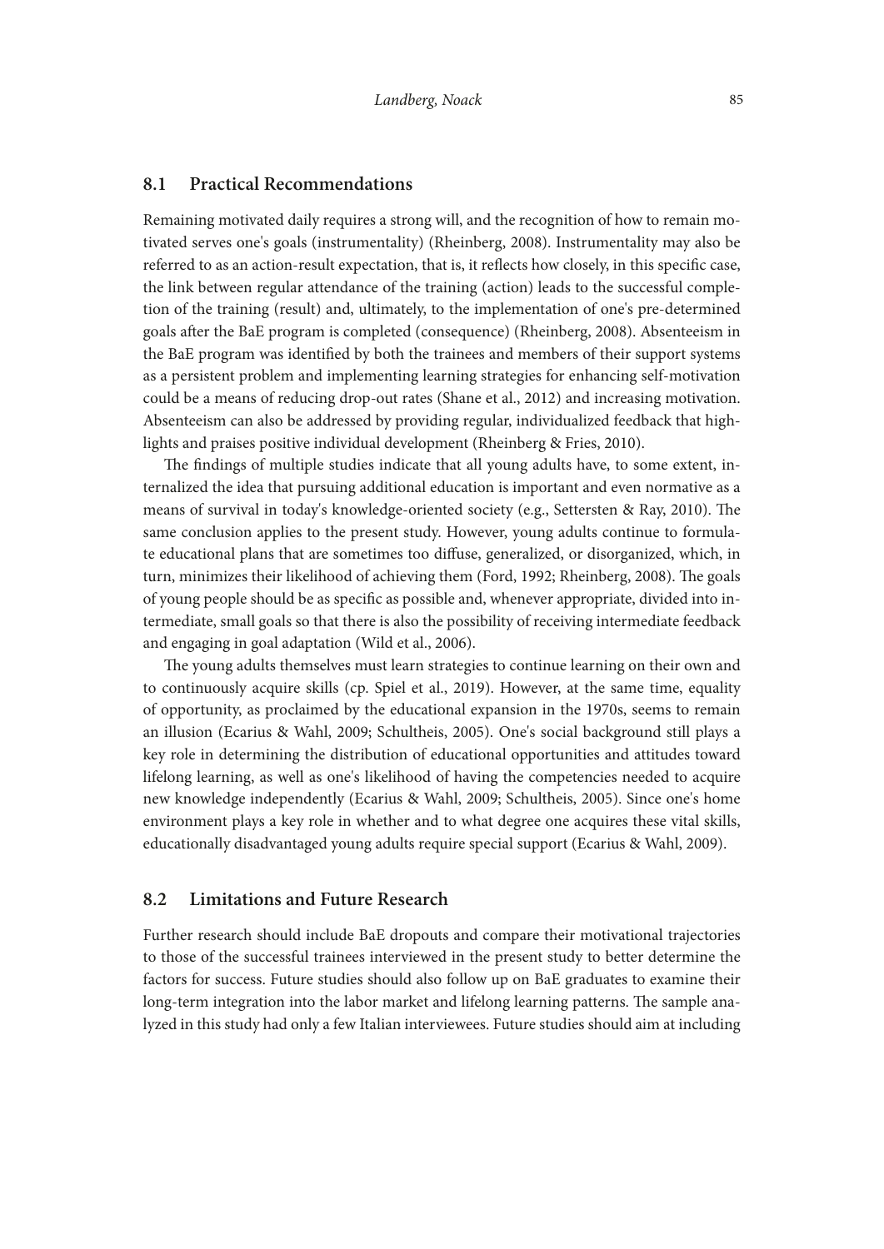#### **8.1 Practical Recommendations**

Remaining motivated daily requires a strong will, and the recognition of how to remain motivated serves one's goals (instrumentality) (Rheinberg, 2008). Instrumentality may also be referred to as an action-result expectation, that is, it refects how closely, in this specifc case, the link between regular attendance of the training (action) leads to the successful completion of the training (result) and, ultimately, to the implementation of one's pre-determined goals afer the BaE program is completed (consequence) (Rheinberg, 2008). Absenteeism in the BaE program was identifed by both the trainees and members of their support systems as a persistent problem and implementing learning strategies for enhancing self-motivation could be a means of reducing drop-out rates (Shane et al., 2012) and increasing motivation. Absenteeism can also be addressed by providing regular, individualized feedback that highlights and praises positive individual development (Rheinberg & Fries, 2010).

The findings of multiple studies indicate that all young adults have, to some extent, internalized the idea that pursuing additional education is important and even normative as a means of survival in today's knowledge-oriented society (e.g., Settersten & Ray, 2010). The same conclusion applies to the present study. However, young adults continue to formulate educational plans that are sometimes too difuse, generalized, or disorganized, which, in turn, minimizes their likelihood of achieving them (Ford, 1992; Rheinberg, 2008). The goals of young people should be as specifc as possible and, whenever appropriate, divided into intermediate, small goals so that there is also the possibility of receiving intermediate feedback and engaging in goal adaptation (Wild et al., 2006).

The young adults themselves must learn strategies to continue learning on their own and to continuously acquire skills (cp. Spiel et al., 2019). However, at the same time, equality of opportunity, as proclaimed by the educational expansion in the 1970s, seems to remain an illusion (Ecarius & Wahl, 2009; Schultheis, 2005). One's social background still plays a key role in determining the distribution of educational opportunities and attitudes toward lifelong learning, as well as one's likelihood of having the competencies needed to acquire new knowledge independently (Ecarius & Wahl, 2009; Schultheis, 2005). Since one's home environment plays a key role in whether and to what degree one acquires these vital skills, educationally disadvantaged young adults require special support (Ecarius & Wahl, 2009).

#### **8.2 Limitations and Future Research**

Further research should include BaE dropouts and compare their motivational trajectories to those of the successful trainees interviewed in the present study to better determine the factors for success. Future studies should also follow up on BaE graduates to examine their long-term integration into the labor market and lifelong learning patterns. The sample analyzed in this study had only a few Italian interviewees. Future studies should aim at including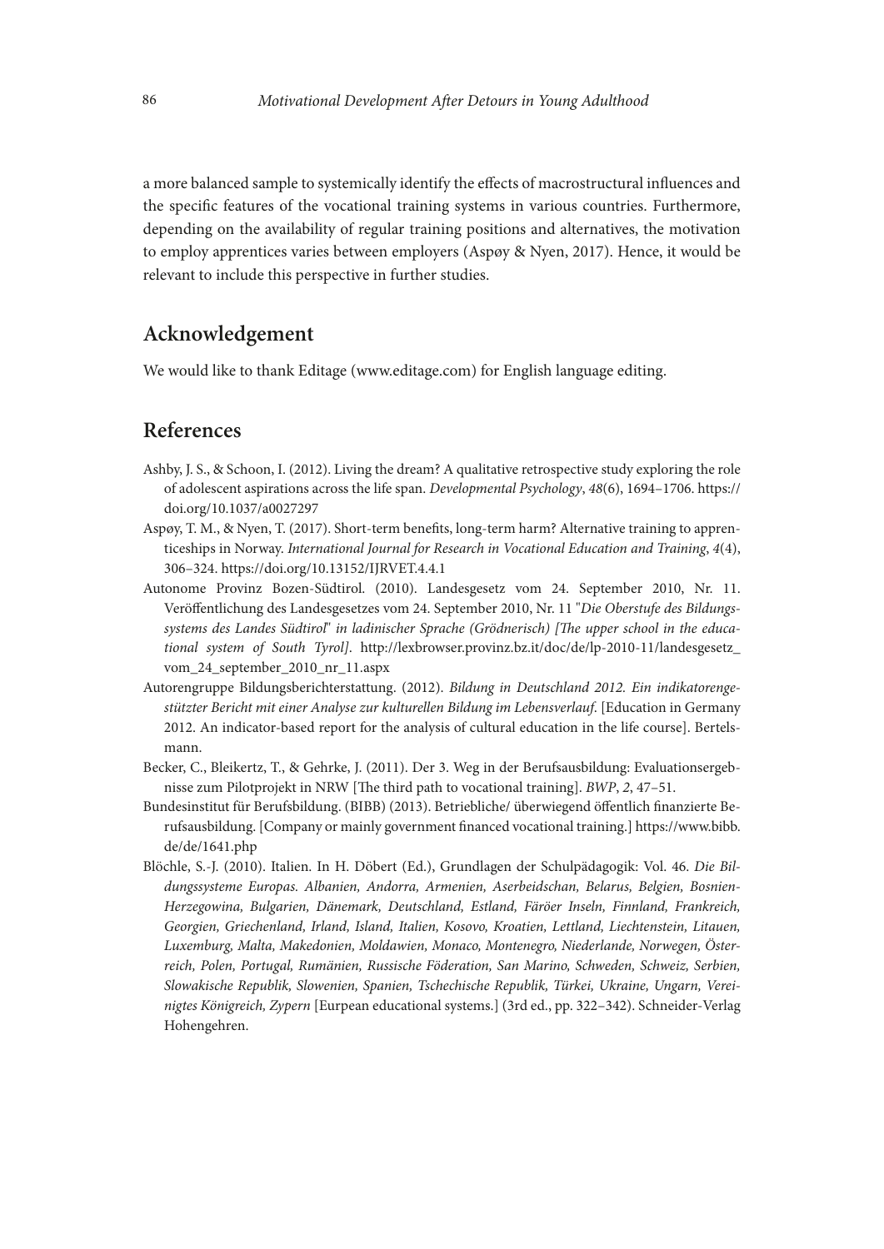a more balanced sample to systemically identify the efects of macrostructural infuences and the specifc features of the vocational training systems in various countries. Furthermore, depending on the availability of regular training positions and alternatives, the motivation to employ apprentices varies between employers (Aspøy & Nyen, 2017). Hence, it would be relevant to include this perspective in further studies.

# **Acknowledgement**

We would like to thank Editage (www.editage.com) for English language editing.

# **References**

- Ashby, J. S., & Schoon, I. (2012). Living the dream? A qualitative retrospective study exploring the role of adolescent aspirations across the life span. *Developmental Psychology*, *48*(6), 1694–1706. https:// doi.org/10.1037/a0027297
- Aspøy, T. M., & Nyen, T. (2017). Short-term benefts, long-term harm? Alternative training to apprenticeships in Norway. *International Journal for Research in Vocational Education and Training*, *4*(4), 306–324. https://doi.org/10.13152/IJRVET.4.4.1
- Autonome Provinz Bozen-Südtirol. (2010). Landesgesetz vom 24. September 2010, Nr. 11. Veröfentlichung des Landesgesetzes vom 24. September 2010, Nr. 11 "*Die Oberstufe des Bildungs*systems des Landes Südtirol" in ladinischer Sprache (Grödnerisch) [The upper school in the educa*tional system of South Tyrol]*. [http://lexbrowser.provinz.bz.it/doc/de/lp-2010-11/landesgesetz\\_](http://lexbrowser.provinz.bz.it/doc/de/lp-2010-11/landesgesetz_vom_24_september_2010_nr_11.aspx) [vom\\_24\\_september\\_2010\\_nr\\_11.aspx](http://lexbrowser.provinz.bz.it/doc/de/lp-2010-11/landesgesetz_vom_24_september_2010_nr_11.aspx)
- Autorengruppe Bildungsberichterstattung. (2012). *Bildung in Deutschland 2012. Ein indikatorengestützter Bericht mit einer Analyse zur kulturellen Bildung im Lebensverlauf*. [Education in Germany 2012. An indicator-based report for the analysis of cultural education in the life course]. Bertelsmann.
- Becker, C., Bleikertz, T., & Gehrke, J. (2011). Der 3. Weg in der Berufsausbildung: Evaluationsergebnisse zum Pilotprojekt in NRW [The third path to vocational training]. *BWP*, 2, 47-51.
- Bundesinstitut fur Berufsbildung. (BIBB) (2013). Betriebliche/ uberwiegend öfentlich fnanzierte Berufsausbildung. [Company or mainly government fnanced vocational training.] [https://www.bibb.](https://www.bibb.de/de/1641.php) [de/de/1641.php](https://www.bibb.de/de/1641.php)
- Blöchle, S.-J. (2010). Italien. In H. Döbert (Ed.), Grundlagen der Schulpädagogik: Vol. 46. *Die Bildungssysteme Europas. Albanien, Andorra, Armenien, Aserbeidschan, Belarus, Belgien, Bosnien-Herzegowina, Bulgarien, Dänemark, Deutschland, Estland, Färöer Inseln, Finnland, Frankreich, Georgien, Griechenland, Irland, Island, Italien, Kosovo, Kroatien, Lettland, Liechtenstein, Litauen, Luxemburg, Malta, Makedonien, Moldawien, Monaco, Montenegro, Niederlande, Norwegen, Österreich, Polen, Portugal, Rumänien, Russische Föderation, San Marino, Schweden, Schweiz, Serbien, Slowakische Republik, Slowenien, Spanien, Tschechische Republik, Türkei, Ukraine, Ungarn, Vereinigtes Königreich, Zypern* [Eurpean educational systems.] (3rd ed., pp. 322–342). Schneider-Verlag Hohengehren.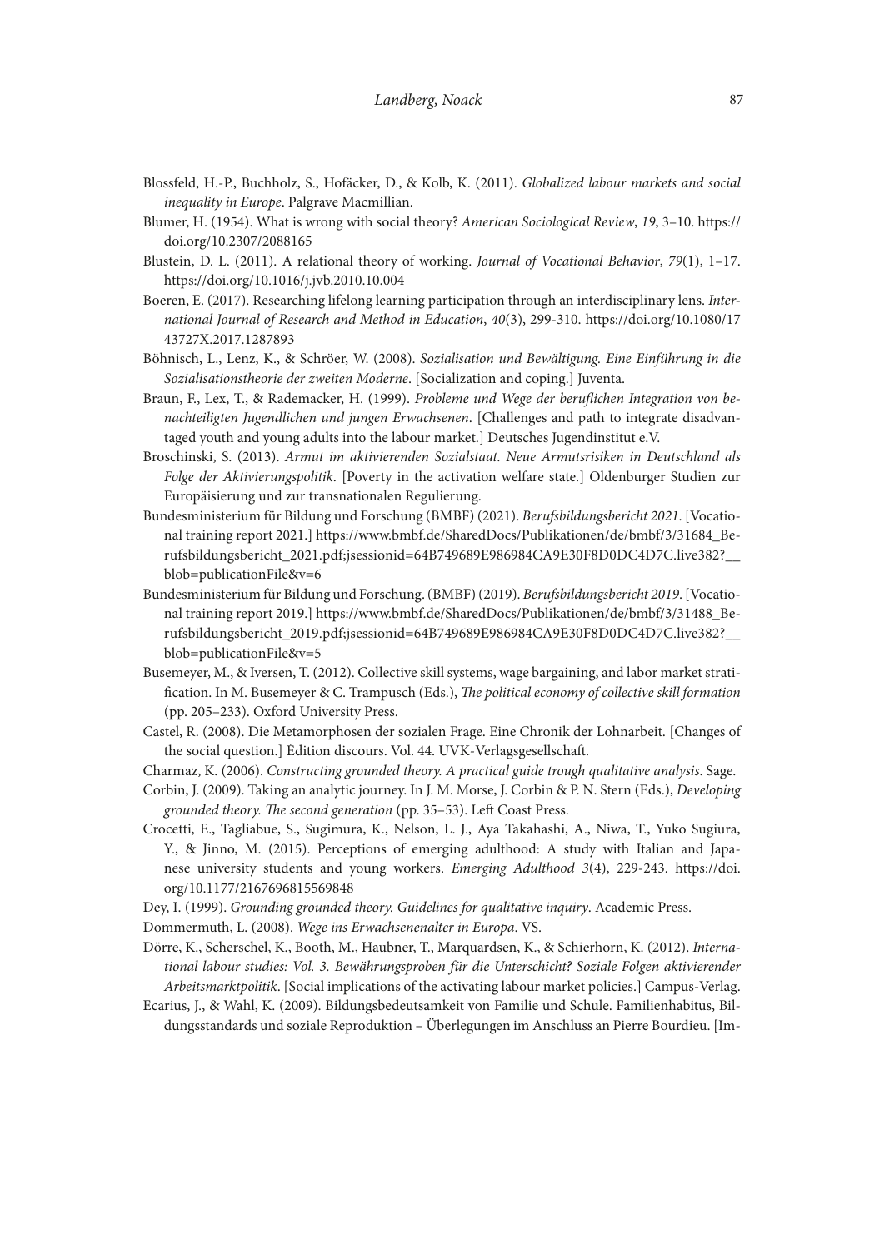- Blossfeld, H.-P., Buchholz, S., Hofäcker, D., & Kolb, K. (2011). *Globalized labour markets and social inequality in Europe*. Palgrave Macmillian.
- Blumer, H. (1954). What is wrong with social theory? *American Sociological Review*, *19*, 3–10. https:// doi.org/10.2307/2088165
- Blustein, D. L. (2011). A relational theory of working. *Journal of Vocational Behavior*, *79*(1), 1–17. https://doi.org/10.1016/j.jvb.2010.10.004
- Boeren, E. (2017). Researching lifelong learning participation through an interdisciplinary lens. *International Journal of Research and Method in Education*, *40*(3), 299-310. [https://doi.org/10.1080/17](https://doi.org/10.1080/1743727X.2017.1287893) [43727X.2017.1287893](https://doi.org/10.1080/1743727X.2017.1287893)
- Böhnisch, L., Lenz, K., & Schröer, W. (2008). *Sozialisation und Bewältigung. Eine Einführung in die Sozialisationstheorie der zweiten Moderne*. [Socialization and coping.] Juventa.
- Braun, F., Lex, T., & Rademacker, H. (1999). *Probleme und Wege der berufichen Integration von benachteiligten Jugendlichen und jungen Erwachsenen*. [Challenges and path to integrate disadvantaged youth and young adults into the labour market.] Deutsches Jugendinstitut e.V.
- Broschinski, S. (2013). *Armut im aktivierenden Sozialstaat. Neue Armutsrisiken in Deutschland als Folge der Aktivierungspolitik*. [Poverty in the activation welfare state.] Oldenburger Studien zur Europäisierung und zur transnationalen Regulierung.
- Bundesministerium fur Bildung und Forschung (BMBF) (2021). *Berufsbildungsbericht 2021*. [Vocational training report 2021.] [https://www.bmbf.de/SharedDocs/Publikationen/de/bmbf/3/31684\\_Be](https://www.bmbf.de/SharedDocs/Publikationen/de/bmbf/3/31684_Berufsbildungsbericht_2021.pdf;jsessionid=64B749689E986984CA9E30F8D0DC4D7C.live382?__blob=publicationFile&v=6)[rufsbildungsbericht\\_2021.pdf;jsessionid=64B749689E986984CA9E30F8D0DC4D7C.live382?\\_\\_](https://www.bmbf.de/SharedDocs/Publikationen/de/bmbf/3/31684_Berufsbildungsbericht_2021.pdf;jsessionid=64B749689E986984CA9E30F8D0DC4D7C.live382?__blob=publicationFile&v=6) [blob=publicationFile&v=6](https://www.bmbf.de/SharedDocs/Publikationen/de/bmbf/3/31684_Berufsbildungsbericht_2021.pdf;jsessionid=64B749689E986984CA9E30F8D0DC4D7C.live382?__blob=publicationFile&v=6)
- Bundesministerium fur Bildung und Forschung. (BMBF) (2019). *Berufsbildungsbericht 2019*. [Vocational training report 2019.] [https://www.bmbf.de/SharedDocs/Publikationen/de/bmbf/3/31488\\_Be](https://www.bmbf.de/SharedDocs/Publikationen/de/bmbf/3/31488_Berufsbildungsbericht_2019.pdf;jsessionid=64B749689E986984CA9E30F8D0DC4D7C.live382?__blob=publicationFile&v=5)[rufsbildungsbericht\\_2019.pdf;jsessionid=64B749689E986984CA9E30F8D0DC4D7C.live382?\\_\\_](https://www.bmbf.de/SharedDocs/Publikationen/de/bmbf/3/31488_Berufsbildungsbericht_2019.pdf;jsessionid=64B749689E986984CA9E30F8D0DC4D7C.live382?__blob=publicationFile&v=5) [blob=publicationFile&v=5](https://www.bmbf.de/SharedDocs/Publikationen/de/bmbf/3/31488_Berufsbildungsbericht_2019.pdf;jsessionid=64B749689E986984CA9E30F8D0DC4D7C.live382?__blob=publicationFile&v=5)
- Busemeyer, M., & Iversen, T. (2012). Collective skill systems, wage bargaining, and labor market stratifcation. In M. Busemeyer & C. Trampusch (Eds.), *Te political economy of collective skill formation* (pp. 205–233). Oxford University Press.
- Castel, R. (2008). Die Metamorphosen der sozialen Frage. Eine Chronik der Lohnarbeit. [Changes of the social question.] Édition discours. Vol. 44. UVK-Verlagsgesellschaf.
- Charmaz, K. (2006). *Constructing grounded theory. A practical guide trough qualitative analysis*. Sage.
- Corbin, J. (2009). Taking an analytic journey. In J. M. Morse, J. Corbin & P. N. Stern (Eds.), *Developing*  grounded theory. The second generation (pp. 35-53). Left Coast Press.
- Crocetti, E., Tagliabue, S., Sugimura, K., Nelson, L. J., Aya Takahashi, A., Niwa, T., Yuko Sugiura, Y., & Jinno, M. (2015). Perceptions of emerging adulthood: A study with Italian and Japanese university students and young workers. *Emerging Adulthood 3*(4), 229-243. [https://doi.](https://doi.org/10.1177/2167696815569848) [org/10.1177/2167696815569848](https://doi.org/10.1177/2167696815569848)
- Dey, I. (1999). *Grounding grounded theory. Guidelines for qualitative inquiry*. Academic Press.

Dommermuth, L. (2008). *Wege ins Erwachsenenalter in Europa*. VS.

- Dörre, K., Scherschel, K., Booth, M., Haubner, T., Marquardsen, K., & Schierhorn, K. (2012). *International labour studies: Vol. 3. Bewährungsproben für die Unterschicht? Soziale Folgen aktivierender Arbeitsmarktpolitik*. [Social implications of the activating labour market policies.] Campus-Verlag.
- Ecarius, J., & Wahl, K. (2009). Bildungsbedeutsamkeit von Familie und Schule. Familienhabitus, Bildungsstandards und soziale Reproduktion – Überlegungen im Anschluss an Pierre Bourdieu. [Im-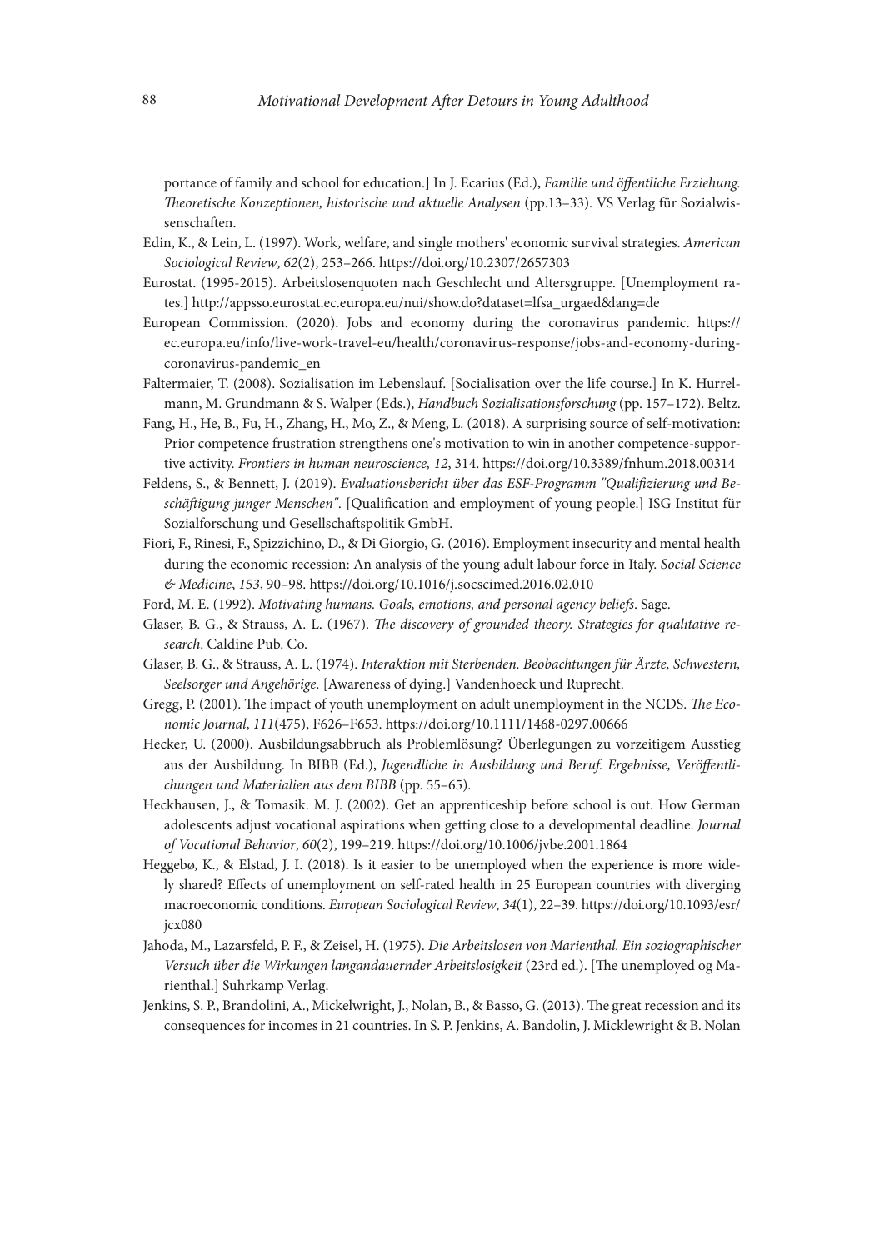portance of family and school for education.] In J. Ecarius (Ed.), *Familie und öfentliche Erziehung. Teoretische Konzeptionen, historische und aktuelle Analysen* (pp.13–33). VS Verlag für Sozialwissenschafen.

- Edin, K., & Lein, L. (1997). Work, welfare, and single mothers' economic survival strategies. *American Sociological Review*, *62*(2), 253–266. https://doi.org/10.2307/2657303
- Eurostat. (1995-2015). Arbeitslosenquoten nach Geschlecht und Altersgruppe. [Unemployment rates.] http://appsso.eurostat.ec.europa.eu/nui/show.do?dataset=lfsa\_urgaed&lang=de
- European Commission. (2020). Jobs and economy during the coronavirus pandemic. [https://](https://ec.europa.eu/info/live-work-travel-eu/health/coronavirus-response/jobs-and-economy-during-coronavirus-pandemic_en) [ec.europa.eu/info/live-work-travel-eu/health/coronavirus-response/jobs-and-economy-during](https://ec.europa.eu/info/live-work-travel-eu/health/coronavirus-response/jobs-and-economy-during-coronavirus-pandemic_en)[coronavirus-pandemic\\_en](https://ec.europa.eu/info/live-work-travel-eu/health/coronavirus-response/jobs-and-economy-during-coronavirus-pandemic_en)
- Faltermaier, T. (2008). Sozialisation im Lebenslauf. [Socialisation over the life course.] In K. Hurrelmann, M. Grundmann & S. Walper (Eds.), *Handbuch Sozialisationsforschung* (pp. 157–172). Beltz.
- Fang, H., He, B., Fu, H., Zhang, H., Mo, Z., & Meng, L. (2018). A surprising source of self-motivation: Prior competence frustration strengthens one's motivation to win in another competence-supportive activity. *Frontiers in human neuroscience, 12*, 314. https://doi.org/10.3389/fnhum.2018.00314
- Feldens, S., & Bennett, J. (2019). *Evaluationsbericht über das ESF-Programm "Qualifzierung und Beschäfigung junger Menschen"*. [Qualifcation and employment of young people.] ISG Institut für Sozialforschung und Gesellschafspolitik GmbH.
- Fiori, F., Rinesi, F., Spizzichino, D., & Di Giorgio, G. (2016). Employment insecurity and mental health during the economic recession: An analysis of the young adult labour force in Italy. *Social Science & Medicine*, *153*, 90–98. https://doi.org/10.1016/j.socscimed.2016.02.010
- Ford, M. E. (1992). *Motivating humans. Goals, emotions, and personal agency beliefs*. Sage.
- Glaser, B. G., & Strauss, A. L. (1967). *The discovery of grounded theory. Strategies for qualitative research*. Caldine Pub. Co.
- Glaser, B. G., & Strauss, A. L. (1974). *Interaktion mit Sterbenden. Beobachtungen für Ärzte, Schwestern, Seelsorger und Angehörige*. [Awareness of dying.] Vandenhoeck und Ruprecht.
- Gregg, P. (2001). The impact of youth unemployment on adult unemployment in the NCDS. The Eco*nomic Journal*, *111*(475), F626–F653. https://doi.org/10.1111/1468-0297.00666
- Hecker, U. (2000). Ausbildungsabbruch als Problemlösung? Überlegungen zu vorzeitigem Ausstieg aus der Ausbildung. In BIBB (Ed.), *Jugendliche in Ausbildung und Beruf. Ergebnisse, Veröfentlichungen und Materialien aus dem BIBB* (pp. 55–65).
- Heckhausen, J., & Tomasik. M. J. (2002). Get an apprenticeship before school is out. How German adolescents adjust vocational aspirations when getting close to a developmental deadline. *Journal of Vocational Behavior*, *60*(2), 199–219. https://doi.org/10.1006/jvbe.2001.1864
- Heggebø, K., & Elstad, J. I. (2018). Is it easier to be unemployed when the experience is more widely shared? Efects of unemployment on self-rated health in 25 European countries with diverging macroeconomic conditions. *European Sociological Review*, *34*(1), 22–39. [https://doi.org/10.1093/esr/](https://doi.org/10.1093/esr/jcx080) [jcx080](https://doi.org/10.1093/esr/jcx080)
- Jahoda, M., Lazarsfeld, P. F., & Zeisel, H. (1975). *Die Arbeitslosen von Marienthal. Ein soziographischer*  Versuch über die Wirkungen langandauernder Arbeitslosigkeit (23rd ed.). [The unemployed og Marienthal.] Suhrkamp Verlag.
- Jenkins, S. P., Brandolini, A., Mickelwright, J., Nolan, B., & Basso, G. (2013). The great recession and its consequences for incomes in 21 countries. In S. P. Jenkins, A. Bandolin, J. Micklewright & B. Nolan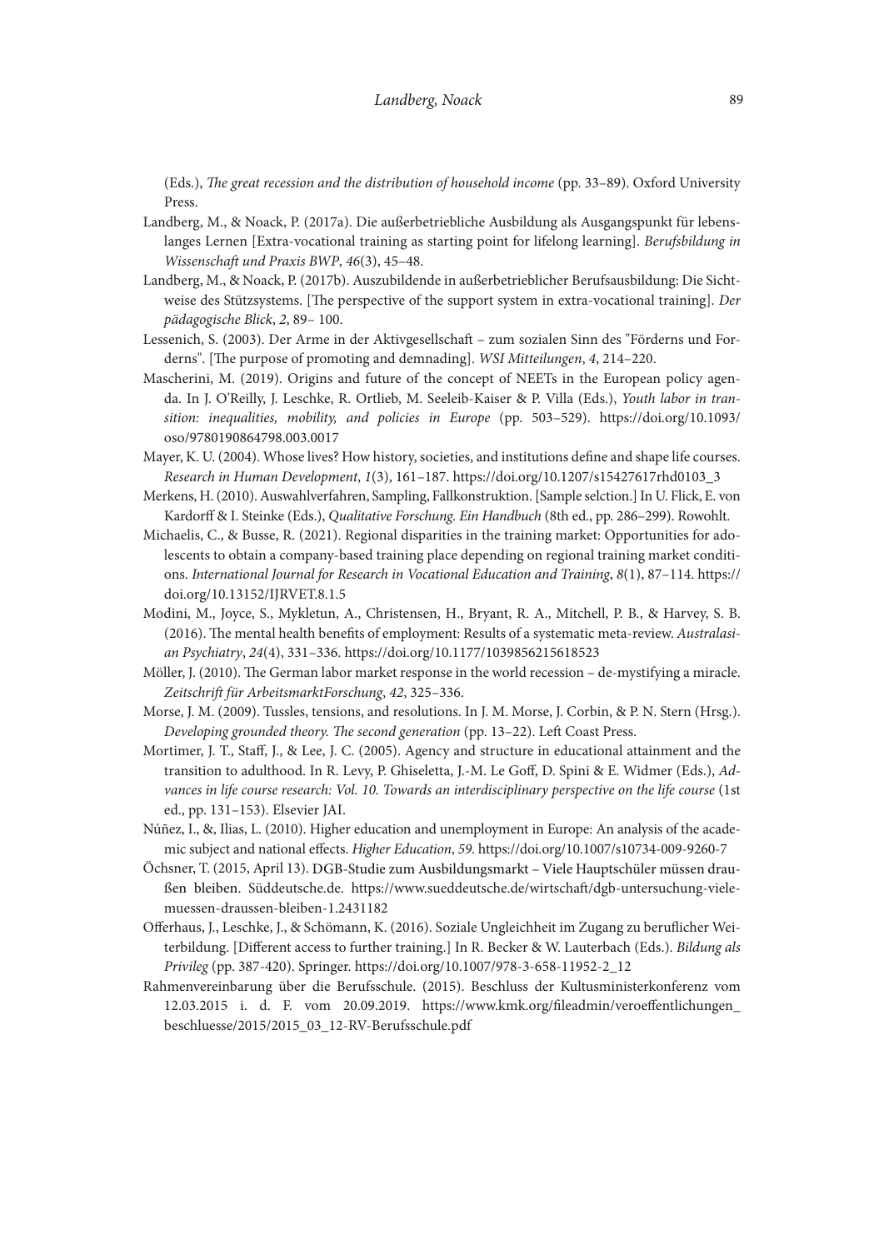(Eds.), *The great recession and the distribution of household income* (pp. 33-89). Oxford University Press.

- Landberg, M., & Noack, P. (2017a). Die außerbetriebliche Ausbildung als Ausgangspunkt für lebenslanges Lernen [Extra-vocational training as starting point for lifelong learning]. *Berufsbildung in Wissenschaft und Praxis BWP*, 46(3), 45-48.
- Landberg, M., & Noack, P. (2017b). Auszubildende in außerbetrieblicher Berufsausbildung: Die Sichtweise des Stützsystems. [The perspective of the support system in extra-vocational training]. *Der pädagogische Blick*, *2*, 89– 100.
- Lessenich, S. (2003). Der Arme in der Aktivgesellschaf zum sozialen Sinn des "Förderns und Forderns". [The purpose of promoting and demnading]. *WSI Mitteilungen*, 4, 214–220.
- Mascherini, M. (2019). Origins and future of the concept of NEETs in the European policy agenda. In J. O'Reilly, J. Leschke, R. Ortlieb, M. Seeleib-Kaiser & P. Villa (Eds.), *Youth labor in transition: inequalities, mobility, and policies in Europe* (pp. 503–529). [https://doi.org/10.1093/](https://doi.org/10.1093/oso/9780190864798.003.0017) [oso/9780190864798.003.0017](https://doi.org/10.1093/oso/9780190864798.003.0017)
- Mayer, K. U. (2004). Whose lives? How history, societies, and institutions defne and shape life courses. *Research in Human Development*, *1*(3), 161–187. https://doi.org/10.1207/s15427617rhd0103\_3
- Merkens, H. (2010). Auswahlverfahren, Sampling, Fallkonstruktion. [Sample selction.] In U. Flick, E. von Kardorf & I. Steinke (Eds.), *Qualitative Forschung. Ein Handbuch* (8th ed., pp. 286–299). Rowohlt.
- Michaelis, C., & Busse, R. (2021). Regional disparities in the training market: Opportunities for adolescents to obtain a company-based training place depending on regional training market conditions. *International Journal for Research in Vocational Education and Training*, *8*(1), 87–114. https:// doi.org/10.13152/IJRVET.8.1.5
- Modini, M., Joyce, S., Mykletun, A., Christensen, H., Bryant, R. A., Mitchell, P. B., & Harvey, S. B. (2016). The mental health benefits of employment: Results of a systematic meta-review. Australasi*an Psychiatry*, *24*(4), 331–336. https://doi.org/10.1177/1039856215618523
- Möller, J. (2010). The German labor market response in the world recession de-mystifying a miracle. *Zeitschrif für ArbeitsmarktForschung*, *42*, 325–336.
- Morse, J. M. (2009). Tussles, tensions, and resolutions. In J. M. Morse, J. Corbin, & P. N. Stern (Hrsg.). *Developing grounded theory. The second generation* (pp. 13–22). Left Coast Press.
- Mortimer, J. T., Staf, J., & Lee, J. C. (2005). Agency and structure in educational attainment and the transition to adulthood. In R. Levy, P. Ghiseletta, J.-M. Le Gof, D. Spini & E. Widmer (Eds.), *Advances in life course research: Vol. 10. Towards an interdisciplinary perspective on the life course* (1st ed., pp. 131–153). Elsevier JAI.
- Núñez, I., &, Ilias, L. (2010). Higher education and unemployment in Europe: An analysis of the academic subject and national efects. *Higher Education*, *59*. https://doi.org/10.1007/s10734-009-9260-7
- Ochsner, T. (2015, April 13). DGB-Studie zum Ausbildungsmarkt Viele Hauptschüler müssen draußen bleiben. Suddeutsche.de. https://www.sueddeutsche.de/wirtschaf/dgb-untersuchung-vielemuessen-draussen-bleiben-1.2431182
- Oferhaus, J., Leschke, J., & Schömann, K. (2016). Soziale Ungleichheit im Zugang zu beruficher Weiterbildung. [Diferent access to further training.] In R. Becker & W. Lauterbach (Eds.). *Bildung als Privileg* (pp. 387-420). Springer. https://doi.org/10.1007/978-3-658-11952-2\_12
- Rahmenvereinbarung über die Berufsschule. (2015). Beschluss der Kultusministerkonferenz vom 12.03.2015 i. d. F. vom 20.09.2019. [https://www.kmk.org/fleadmin/veroefentlichungen\\_](https://www.kmk.org/fileadmin/veroeffentlichungen_beschluesse/2015/2015_03_12-RV-Berufsschule.pdf) [beschluesse/2015/2015\\_03\\_12-RV-Berufsschule.pdf](https://www.kmk.org/fileadmin/veroeffentlichungen_beschluesse/2015/2015_03_12-RV-Berufsschule.pdf)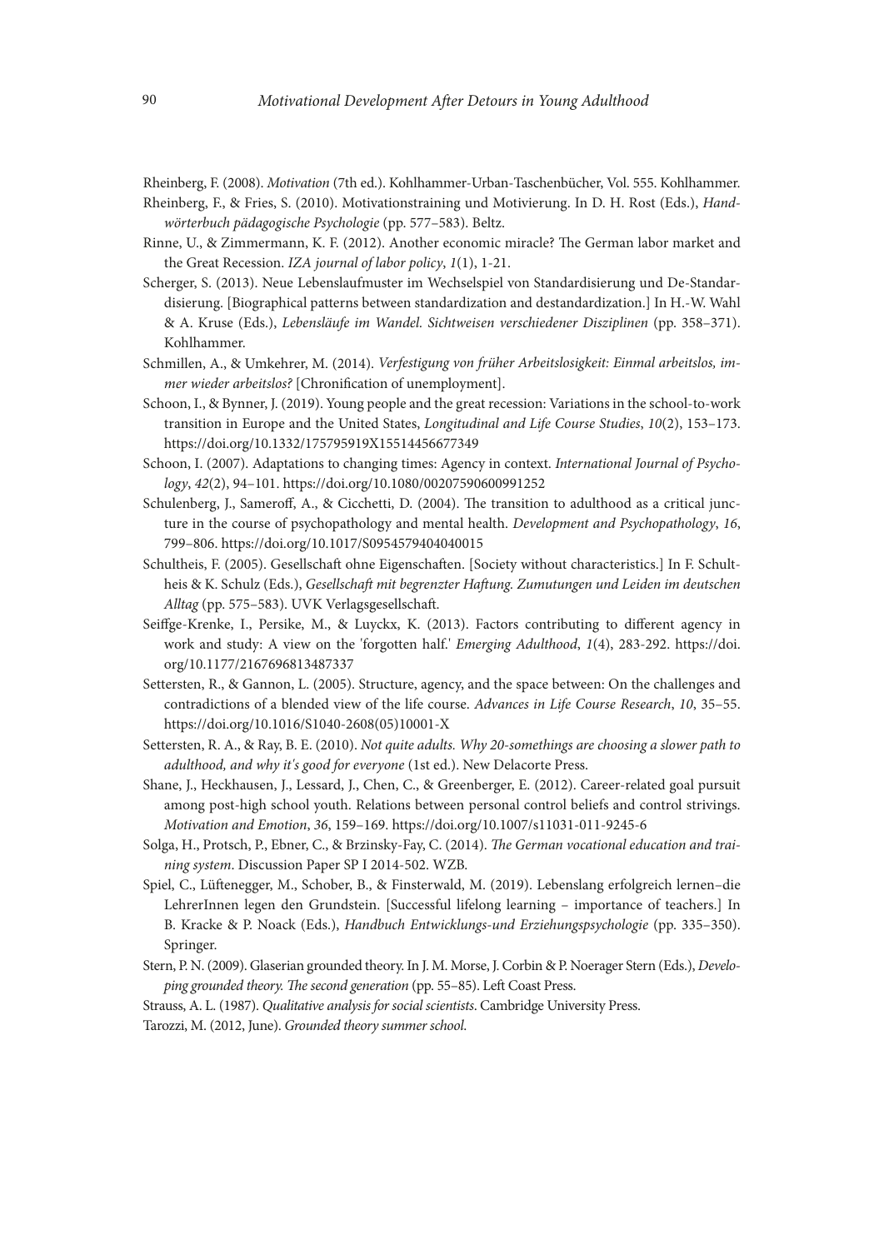Rheinberg, F. (2008). *Motivation* (7th ed.). Kohlhammer-Urban-Taschenbücher, Vol. 555. Kohlhammer. Rheinberg, F., & Fries, S. (2010). Motivationstraining und Motivierung. In D. H. Rost (Eds.), *Hand-*

*wörterbuch pädagogische Psychologie* (pp. 577–583). Beltz.

- Rinne, U., & Zimmermann, K. F. (2012). Another economic miracle? The German labor market and the Great Recession. *IZA journal of labor policy*, *1*(1), 1-21.
- Scherger, S. (2013). Neue Lebenslaufmuster im Wechselspiel von Standardisierung und De-Standardisierung. [Biographical patterns between standardization and destandardization.] In H.-W. Wahl & A. Kruse (Eds.), *Lebensläufe im Wandel. Sichtweisen verschiedener Disziplinen* (pp. 358–371). Kohlhammer.
- Schmillen, A., & Umkehrer, M. (2014). *Verfestigung von früher Arbeitslosigkeit: Einmal arbeitslos, immer wieder arbeitslos?* [Chronifcation of unemployment].
- Schoon, I., & Bynner, J. (2019). Young people and the great recession: Variations in the school-to-work transition in Europe and the United States, *Longitudinal and Life Course Studies*, *10*(2), 153–173. https://doi.org/10.1332/175795919X15514456677349
- Schoon, I. (2007). Adaptations to changing times: Agency in context. *International Journal of Psychology*, *42*(2), 94–101. https://doi.org/10.1080/00207590600991252
- Schulenberg, J., Sameroff, A., & Cicchetti, D. (2004). The transition to adulthood as a critical juncture in the course of psychopathology and mental health. *Development and Psychopathology*, *16*, 799–806. https://doi.org/10.1017/S0954579404040015
- Schultheis, F. (2005). Gesellschaf ohne Eigenschafen. [Society without characteristics.] In F. Schultheis & K. Schulz (Eds.), *Gesellschaf mit begrenzter Hafung. Zumutungen und Leiden im deutschen Alltag* (pp. 575–583). UVK Verlagsgesellschaf.
- Seifge-Krenke, I., Persike, M., & Luyckx, K. (2013). Factors contributing to diferent agency in work and study: A view on the 'forgotten half.' *Emerging Adulthood*, *1*(4), 283-292. [https://doi.](https://doi.org/10.1177/2167696813487337) [org/10.1177/2167696813487337](https://doi.org/10.1177/2167696813487337)
- Settersten, R., & Gannon, L. (2005). Structure, agency, and the space between: On the challenges and contradictions of a blended view of the life course. *Advances in Life Course Research*, *10*, 35–55. [https://doi.org/10.1016/S1040-2608\(05\)10001-X](https://doi.org/10.1016/S1040-2608(05)10001-X)
- Settersten, R. A., & Ray, B. E. (2010). *Not quite adults. Why 20-somethings are choosing a slower path to adulthood, and why it's good for everyone* (1st ed.). New Delacorte Press.
- Shane, J., Heckhausen, J., Lessard, J., Chen, C., & Greenberger, E. (2012). Career-related goal pursuit among post-high school youth. Relations between personal control beliefs and control strivings. *Motivation and Emotion*, *36*, 159–169. https://doi.org/10.1007/s11031-011-9245-6
- Solga, H., Protsch, P., Ebner, C., & Brzinsky-Fay, C. (2014). *The German vocational education and training system*. Discussion Paper SP I 2014-502. WZB.
- Spiel, C., Lüfenegger, M., Schober, B., & Finsterwald, M. (2019). Lebenslang erfolgreich lernen–die LehrerInnen legen den Grundstein. [Successful lifelong learning – importance of teachers.] In B. Kracke & P. Noack (Eds.), *Handbuch Entwicklungs-und Erziehungspsychologie* (pp. 335–350). Springer.
- Stern, P. N. (2009). Glaserian grounded theory. In J. M. Morse, J. Corbin & P. Noerager Stern (Eds.), *Developing grounded theory. The second generation* (pp. 55–85). Left Coast Press.

Strauss, A. L. (1987). *Qualitative analysis for social scientists*. Cambridge University Press.

Tarozzi, M. (2012, June). *Grounded theory summer school*.